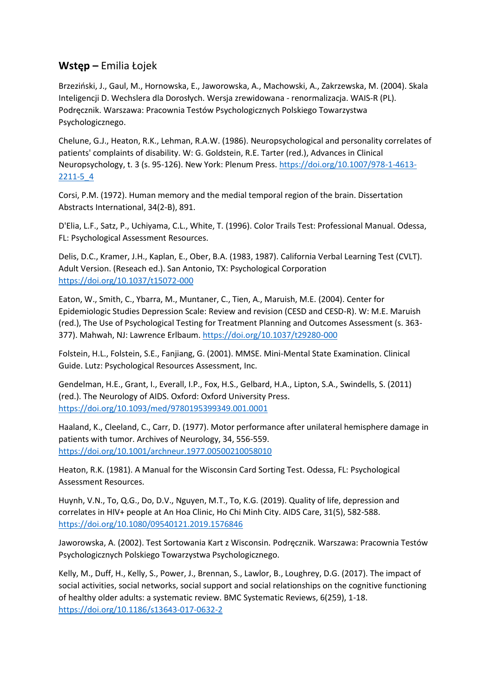#### **Wstęp –** Emilia Łojek

Brzeziński, J., Gaul, M., Hornowska, E., Jaworowska, A., Machowski, A., Zakrzewska, M. (2004). Skala Inteligencji D. Wechslera dla Dorosłych. Wersja zrewidowana - renormalizacja. WAIS-R (PL). Podręcznik. Warszawa: Pracownia Testów Psychologicznych Polskiego Towarzystwa Psychologicznego.

Chelune, G.J., Heaton, R.K., Lehman, R.A.W. (1986). Neuropsychological and personality correlates of patients' complaints of disability. W: G. Goldstein, R.E. Tarter (red.), Advances in Clinical Neuropsychology, t. 3 (s. 95-126). New York: Plenum Press. [https://doi.org/10.1007/978-1-4613-](https://doi.org/10.1007/978-1-4613-2211-5_4) [2211-5\\_4](https://doi.org/10.1007/978-1-4613-2211-5_4)

Corsi, P.M. (1972). Human memory and the medial temporal region of the brain. Dissertation Abstracts International, 34(2-B), 891.

D'Elia, L.F., Satz, P., Uchiyama, C.L., White, T. (1996). Color Trails Test: Professional Manual. Odessa, FL: Psychological Assessment Resources.

Delis, D.C., Kramer, J.H., Kaplan, E., Ober, B.A. (1983, 1987). California Verbal Learning Test (CVLT). Adult Version. (Reseach ed.). San Antonio, TX: Psychological Corporation <https://doi.org/10.1037/t15072-000>

Eaton, W., Smith, C., Ybarra, M., Muntaner, C., Tien, A., Maruish, M.E. (2004). Center for Epidemiologic Studies Depression Scale: Review and revision (CESD and CESD-R). W: M.E. Maruish (red.), The Use of Psychological Testing for Treatment Planning and Outcomes Assessment (s. 363- 377). Mahwah, NJ: Lawrence Erlbaum. <https://doi.org/10.1037/t29280-000>

Folstein, H.L., Folstein, S.E., Fanjiang, G. (2001). MMSE. Mini-Mental State Examination. Clinical Guide. Lutz: Psychological Resources Assessment, Inc.

Gendelman, H.E., Grant, I., Everall, I.P., Fox, H.S., Gelbard, H.A., Lipton, S.A., Swindells, S. (2011) (red.). The Neurology of AIDS. Oxford: Oxford University Press. <https://doi.org/10.1093/med/9780195399349.001.0001>

Haaland, K., Cleeland, C., Carr, D. (1977). Motor performance after unilateral hemisphere damage in patients with tumor. Archives of Neurology, 34, 556-559. <https://doi.org/10.1001/archneur.1977.00500210058010>

Heaton, R.K. (1981). A Manual for the Wisconsin Card Sorting Test. Odessa, FL: Psychological Assessment Resources.

Huynh, V.N., To, Q.G., Do, D.V., Nguyen, M.T., To, K.G. (2019). Quality of life, depression and correlates in HIV+ people at An Hoa Clinic, Ho Chi Minh City. AIDS Care, 31(5), 582-588. <https://doi.org/10.1080/09540121.2019.1576846>

Jaworowska, A. (2002). Test Sortowania Kart z Wisconsin. Podręcznik. Warszawa: Pracownia Testów Psychologicznych Polskiego Towarzystwa Psychologicznego.

Kelly, M., Duff, H., Kelly, S., Power, J., Brennan, S., Lawlor, B., Loughrey, D.G. (2017). The impact of social activities, social networks, social support and social relationships on the cognitive functioning of healthy older adults: a systematic review. BMC Systematic Reviews, 6(259), 1-18. <https://doi.org/10.1186/s13643-017-0632-2>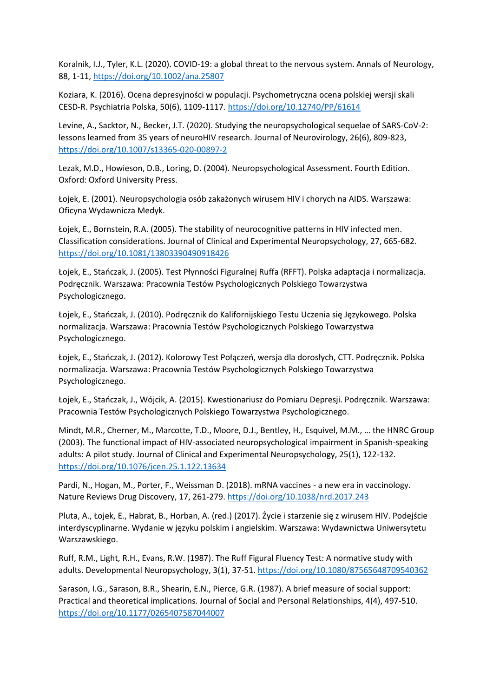Koralnik, I.J., Tyler, K.L. (2020). COVID-19: a global threat to the nervous system. Annals of Neurology, 88, 1-11[, https://doi.org/10.1002/ana.25807](https://doi.org/10.1002/ana.25807)

Koziara, K. (2016). Ocena depresyjności w populacji. Psychometryczna ocena polskiej wersji skali CESD-R. Psychiatria Polska, 50(6), 1109-1117. <https://doi.org/10.12740/PP/61614>

Levine, A., Sacktor, N., Becker, J.T. (2020). Studying the neuropsychological sequelae of SARS-CoV-2: lessons learned from 35 years of neuroHIV research. Journal of Neurovirology, 26(6), 809-823, <https://doi.org/10.1007/s13365-020-00897-2>

Lezak, M.D., Howieson, D.B., Loring, D. (2004). Neuropsychological Assessment. Fourth Edition. Oxford: Oxford University Press.

Łojek, E. (2001). Neuropsychologia osób zakażonych wirusem HIV i chorych na AIDS. Warszawa: Oficyna Wydawnicza Medyk.

Łojek, E., Bornstein, R.A. (2005). The stability of neurocognitive patterns in HIV infected men. Classification considerations. Journal of Clinical and Experimental Neuropsychology, 27, 665-682. <https://doi.org/10.1081/13803390490918426>

Łojek, E., Stańczak, J. (2005). Test Płynności Figuralnej Ruffa (RFFT). Polska adaptacja i normalizacja. Podręcznik. Warszawa: Pracownia Testów Psychologicznych Polskiego Towarzystwa Psychologicznego.

Łojek, E., Stańczak, J. (2010). Podręcznik do Kalifornijskiego Testu Uczenia się Językowego. Polska normalizacja. Warszawa: Pracownia Testów Psychologicznych Polskiego Towarzystwa Psychologicznego.

Łojek, E., Stańczak, J. (2012). Kolorowy Test Połączeń, wersja dla dorosłych, CTT. Podręcznik. Polska normalizacja. Warszawa: Pracownia Testów Psychologicznych Polskiego Towarzystwa Psychologicznego.

Łojek, E., Stańczak, J., Wójcik, A. (2015). Kwestionariusz do Pomiaru Depresji. Podręcznik. Warszawa: Pracownia Testów Psychologicznych Polskiego Towarzystwa Psychologicznego.

Mindt, M.R., Cherner, M., Marcotte, T.D., Moore, D.J., Bentley, H., Esquivel, M.M., … the HNRC Group (2003). The functional impact of HIV-associated neuropsychological impairment in Spanish-speaking adults: A pilot study. Journal of Clinical and Experimental Neuropsychology, 25(1), 122-132. <https://doi.org/10.1076/jcen.25.1.122.13634>

Pardi, N., Hogan, M., Porter, F., Weissman D. (2018). mRNA vaccines - a new era in vaccinology. Nature Reviews Drug Discovery, 17, 261-279. <https://doi.org/10.1038/nrd.2017.243>

Pluta, A., Łojek, E., Habrat, B., Horban, A. (red.) (2017). Życie i starzenie się z wirusem HIV. Podejście interdyscyplinarne. Wydanie w języku polskim i angielskim. Warszawa: Wydawnictwa Uniwersytetu Warszawskiego.

Ruff, R.M., Light, R.H., Evans, R.W. (1987). The Ruff Figural Fluency Test: A normative study with adults. Developmental Neuropsychology, 3(1), 37-51. <https://doi.org/10.1080/87565648709540362>

Sarason, I.G., Sarason, B.R., Shearin, E.N., Pierce, G.R. (1987). A brief measure of social support: Practical and theoretical implications. Journal of Social and Personal Relationships, 4(4), 497-510. <https://doi.org/10.1177/0265407587044007>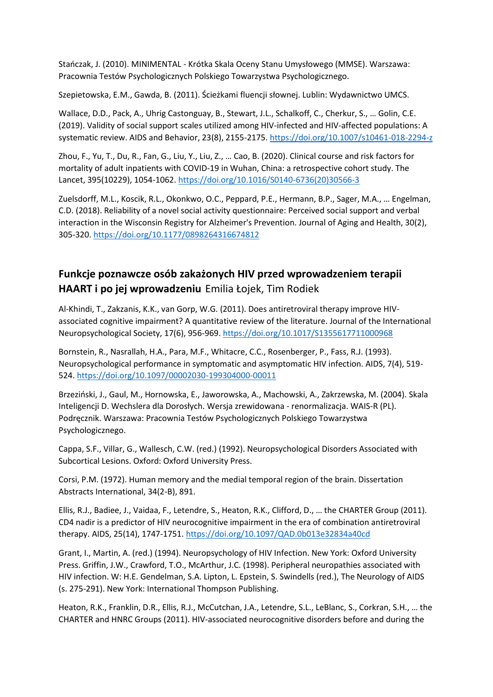Stańczak, J. (2010). MINIMENTAL - Krótka Skala Oceny Stanu Umysłowego (MMSE). Warszawa: Pracownia Testów Psychologicznych Polskiego Towarzystwa Psychologicznego.

Szepietowska, E.M., Gawda, B. (2011). Ścieżkami fluencji słownej. Lublin: Wydawnictwo UMCS.

Wallace, D.D., Pack, A., Uhrig Castonguay, B., Stewart, J.L., Schalkoff, C., Cherkur, S., … Golin, C.E. (2019). Validity of social support scales utilized among HIV-infected and HIV-affected populations: A systematic review. AIDS and Behavior, 23(8), 2155-2175. <https://doi.org/10.1007/s10461-018-2294-z>

Zhou, F., Yu, T., Du, R., Fan, G., Liu, Y., Liu, Z., … Cao, B. (2020). Clinical course and risk factors for mortality of adult inpatients with COVID-19 in Wuhan, China: a retrospective cohort study. The Lancet, 395(10229), 1054-1062. [https://doi.org/10.1016/S0140-6736\(20\)30566-3](https://doi.org/10.1016/S0140-6736(20)30566-3)

Zuelsdorff, M.L., Koscik, R.L., Okonkwo, O.C., Peppard, P.E., Hermann, B.P., Sager, M.A., … Engelman, C.D. (2018). Reliability of a novel social activity questionnaire: Perceived social support and verbal interaction in the Wisconsin Registry for Alzheimer's Prevention. Journal of Aging and Health, 30(2), 305-320. <https://doi.org/10.1177/0898264316674812>

# **Funkcje poznawcze osób zakażonych HIV przed wprowadzeniem terapii HAART i po jej wprowadzeniu** Emilia Łojek, Tim Rodiek

Al-Khindi, T., Zakzanis, K.K., van Gorp, W.G. (2011). Does antiretroviral therapy improve HIVassociated cognitive impairment? A quantitative review of the literature. Journal of the International Neuropsychological Society, 17(6), 956-969. <https://doi.org/10.1017/S1355617711000968>

Bornstein, R., Nasrallah, H.A., Para, M.F., Whitacre, C.C., Rosenberger, P., Fass, R.J. (1993). Neuropsychological performance in symptomatic and asymptomatic HIV infection. AIDS, 7(4), 519- 524. <https://doi.org/10.1097/00002030-199304000-00011>

Brzeziński, J., Gaul, M., Hornowska, E., Jaworowska, A., Machowski, A., Zakrzewska, M. (2004). Skala Inteligencji D. Wechslera dla Dorosłych. Wersja zrewidowana - renormalizacja. WAIS-R (PL). Podręcznik. Warszawa: Pracownia Testów Psychologicznych Polskiego Towarzystwa Psychologicznego.

Cappa, S.F., Villar, G., Wallesch, C.W. (red.) (1992). Neuropsychological Disorders Associated with Subcortical Lesions. Oxford: Oxford University Press.

Corsi, P.M. (1972). Human memory and the medial temporal region of the brain. Dissertation Abstracts International, 34(2-B), 891.

Ellis, R.J., Badiee, J., Vaidaa, F., Letendre, S., Heaton, R.K., Clifford, D., … the CHARTER Group (2011). CD4 nadir is a predictor of HIV neurocognitive impairment in the era of combination antiretroviral therapy. AIDS, 25(14), 1747-1751. <https://doi.org/10.1097/QAD.0b013e32834a40cd>

Grant, I., Martin, A. (red.) (1994). Neuropsychology of HIV Infection. New York: Oxford University Press. Griffin, J.W., Crawford, T.O., McArthur, J.C. (1998). Peripheral neuropathies associated with HIV infection. W: H.E. Gendelman, S.A. Lipton, L. Epstein, S. Swindells (red.), The Neurology of AIDS (s. 275-291). New York: International Thompson Publishing.

Heaton, R.K., Franklin, D.R., Ellis, R.J., McCutchan, J.A., Letendre, S.L., LeBlanc, S., Corkran, S.H., … the CHARTER and HNRC Groups (2011). HIV-associated neurocognitive disorders before and during the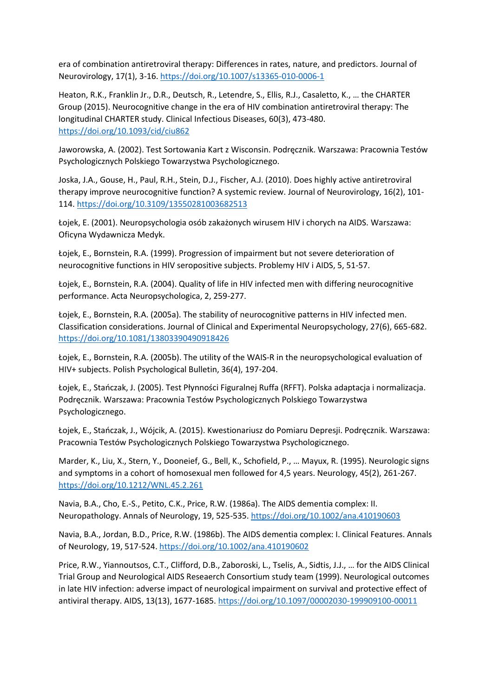era of combination antiretroviral therapy: Differences in rates, nature, and predictors. Journal of Neurovirology, 17(1), 3-16. <https://doi.org/10.1007/s13365-010-0006-1>

Heaton, R.K., Franklin Jr., D.R., Deutsch, R., Letendre, S., Ellis, R.J., Casaletto, K., … the CHARTER Group (2015). Neurocognitive change in the era of HIV combination antiretroviral therapy: The longitudinal CHARTER study. Clinical Infectious Diseases, 60(3), 473-480. <https://doi.org/10.1093/cid/ciu862>

Jaworowska, A. (2002). Test Sortowania Kart z Wisconsin. Podręcznik. Warszawa: Pracownia Testów Psychologicznych Polskiego Towarzystwa Psychologicznego.

Joska, J.A., Gouse, H., Paul, R.H., Stein, D.J., Fischer, A.J. (2010). Does highly active antiretroviral therapy improve neurocognitive function? A systemic review. Journal of Neurovirology, 16(2), 101- 114. <https://doi.org/10.3109/13550281003682513>

Łojek, E. (2001). Neuropsychologia osób zakażonych wirusem HIV i chorych na AIDS. Warszawa: Oficyna Wydawnicza Medyk.

Łojek, E., Bornstein, R.A. (1999). Progression of impairment but not severe deterioration of neurocognitive functions in HIV seropositive subjects. Problemy HIV i AIDS, 5, 51-57.

Łojek, E., Bornstein, R.A. (2004). Quality of life in HIV infected men with differing neurocognitive performance. Acta Neuropsychologica, 2, 259-277.

Łojek, E., Bornstein, R.A. (2005a). The stability of neurocognitive patterns in HIV infected men. Classification considerations. Journal of Clinical and Experimental Neuropsychology, 27(6), 665-682. <https://doi.org/10.1081/13803390490918426>

Łojek, E., Bornstein, R.A. (2005b). The utility of the WAIS-R in the neuropsychological evaluation of HIV+ subjects. Polish Psychological Bulletin, 36(4), 197-204.

Łojek, E., Stańczak, J. (2005). Test Płynności Figuralnej Ruffa (RFFT). Polska adaptacja i normalizacja. Podręcznik. Warszawa: Pracownia Testów Psychologicznych Polskiego Towarzystwa Psychologicznego.

Łojek, E., Stańczak, J., Wójcik, A. (2015). Kwestionariusz do Pomiaru Depresji. Podręcznik. Warszawa: Pracownia Testów Psychologicznych Polskiego Towarzystwa Psychologicznego.

Marder, K., Liu, X., Stern, Y., Dooneief, G., Bell, K., Schofield, P., … Mayux, R. (1995). Neurologic signs and symptoms in a cohort of homosexual men followed for 4,5 years. Neurology, 45(2), 261-267. <https://doi.org/10.1212/WNL.45.2.261>

Navia, B.A., Cho, E.-S., Petito, C.K., Price, R.W. (1986a). The AIDS dementia complex: II. Neuropathology. Annals of Neurology, 19, 525-535. <https://doi.org/10.1002/ana.410190603>

Navia, B.A., Jordan, B.D., Price, R.W. (1986b). The AIDS dementia complex: I. Clinical Features. Annals of Neurology, 19, 517-524. <https://doi.org/10.1002/ana.410190602>

Price, R.W., Yiannoutsos, C.T., Clifford, D.B., Zaboroski, L., Tselis, A., Sidtis, J.J., … for the AIDS Clinical Trial Group and Neurological AIDS Reseaerch Consortium study team (1999). Neurological outcomes in late HIV infection: adverse impact of neurological impairment on survival and protective effect of antiviral therapy. AIDS, 13(13), 1677-1685. <https://doi.org/10.1097/00002030-199909100-00011>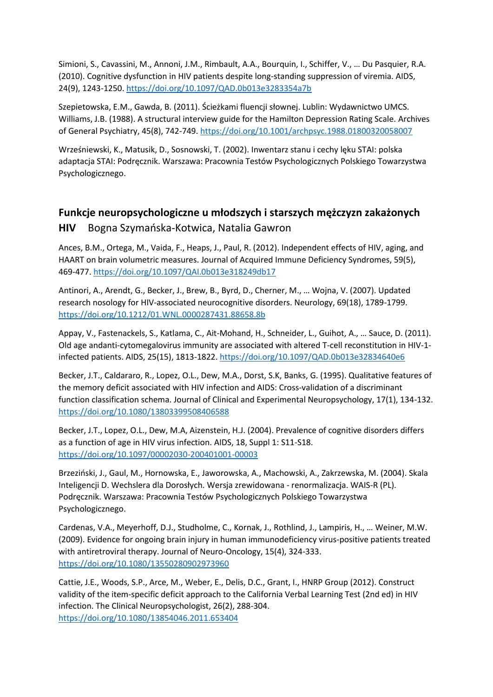Simioni, S., Cavassini, M., Annoni, J.M., Rimbault, A.A., Bourquin, I., Schiffer, V., … Du Pasquier, R.A. (2010). Cognitive dysfunction in HIV patients despite long-standing suppression of viremia. AIDS, 24(9), 1243-1250. <https://doi.org/10.1097/QAD.0b013e3283354a7b>

Szepietowska, E.M., Gawda, B. (2011). Ścieżkami fluencji słownej. Lublin: Wydawnictwo UMCS. Williams, J.B. (1988). A structural interview guide for the Hamilton Depression Rating Scale. Archives of General Psychiatry, 45(8), 742-749. <https://doi.org/10.1001/archpsyc.1988.01800320058007>

Wrześniewski, K., Matusik, D., Sosnowski, T. (2002). Inwentarz stanu i cechy lęku STAI: polska adaptacja STAI: Podręcznik. Warszawa: Pracownia Testów Psychologicznych Polskiego Towarzystwa Psychologicznego.

## **Funkcje neuropsychologiczne u młodszych i starszych mężczyzn zakażonych**

#### **HIV** Bogna Szymańska-Kotwica, Natalia Gawron

Ances, B.M., Ortega, M., Vaida, F., Heaps, J., Paul, R. (2012). Independent effects of HIV, aging, and HAART on brain volumetric measures. Journal of Acquired Immune Deficiency Syndromes, 59(5), 469-477. <https://doi.org/10.1097/QAI.0b013e318249db17>

Antinori, A., Arendt, G., Becker, J., Brew, B., Byrd, D., Cherner, M., … Wojna, V. (2007). Updated research nosology for HIV-associated neurocognitive disorders. Neurology, 69(18), 1789-1799. <https://doi.org/10.1212/01.WNL.0000287431.88658.8b>

Appay, V., Fastenackels, S., Katlama, C., Ait-Mohand, H., Schneider, L., Guihot, A., … Sauce, D. (2011). Old age andanti-cytomegalovirus immunity are associated with altered T-cell reconstitution in HIV-1 infected patients. AIDS, 25(15), 1813-1822. <https://doi.org/10.1097/QAD.0b013e32834640e6>

Becker, J.T., Caldararo, R., Lopez, O.L., Dew, M.A., Dorst, S.K, Banks, G. (1995). Qualitative features of the memory deficit associated with HIV infection and AIDS: Cross-validation of a discriminant function classification schema. Journal of Clinical and Experimental Neuropsychology, 17(1), 134-132. <https://doi.org/10.1080/13803399508406588>

Becker, J.T., Lopez, O.L., Dew, M.A, Aizenstein, H.J. (2004). Prevalence of cognitive disorders differs as a function of age in HIV virus infection. AIDS, 18, Suppl 1: S11-S18. <https://doi.org/10.1097/00002030-200401001-00003>

Brzeziński, J., Gaul, M., Hornowska, E., Jaworowska, A., Machowski, A., Zakrzewska, M. (2004). Skala Inteligencji D. Wechslera dla Dorosłych. Wersja zrewidowana - renormalizacja. WAIS-R (PL). Podręcznik. Warszawa: Pracownia Testów Psychologicznych Polskiego Towarzystwa Psychologicznego.

Cardenas, V.A., Meyerhoff, D.J., Studholme, C., Kornak, J., Rothlind, J., Lampiris, H., … Weiner, M.W. (2009). Evidence for ongoing brain injury in human immunodeficiency virus-positive patients treated with antiretroviral therapy. Journal of Neuro-Oncology, 15(4), 324-333. <https://doi.org/10.1080/13550280902973960>

Cattie, J.E., Woods, S.P., Arce, M., Weber, E., Delis, D.C., Grant, I., HNRP Group (2012). Construct validity of the item-specific deficit approach to the California Verbal Learning Test (2nd ed) in HIV infection. The Clinical Neuropsychologist, 26(2), 288-304. <https://doi.org/10.1080/13854046.2011.653404>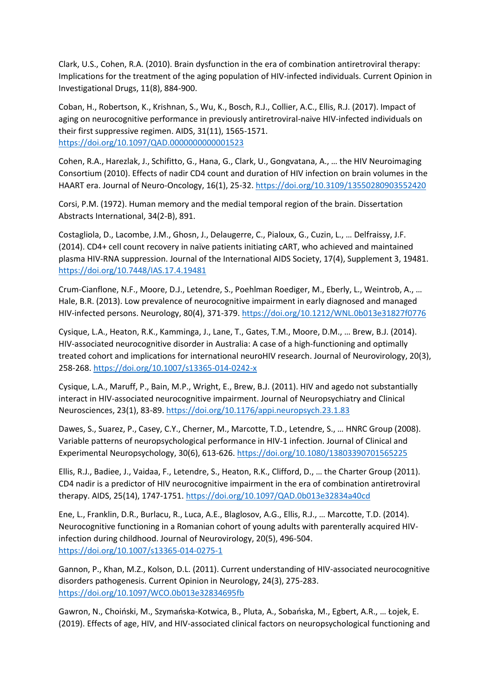Clark, U.S., Cohen, R.A. (2010). Brain dysfunction in the era of combination antiretroviral therapy: Implications for the treatment of the aging population of HIV-infected individuals. Current Opinion in Investigational Drugs, 11(8), 884-900.

Coban, H., Robertson, K., Krishnan, S., Wu, K., Bosch, R.J., Collier, A.C., Ellis, R.J. (2017). Impact of aging on neurocognitive performance in previously antiretroviral-naive HIV-infected individuals on their first suppressive regimen. AIDS, 31(11), 1565-1571. <https://doi.org/10.1097/QAD.0000000000001523>

Cohen, R.A., Harezlak, J., Schifitto, G., Hana, G., Clark, U., Gongvatana, A., … the HIV Neuroimaging Consortium (2010). Effects of nadir CD4 count and duration of HIV infection on brain volumes in the HAART era. Journal of Neuro-Oncology, 16(1), 25-32. <https://doi.org/10.3109/13550280903552420>

Corsi, P.M. (1972). Human memory and the medial temporal region of the brain. Dissertation Abstracts International, 34(2-B), 891.

Costagliola, D., Lacombe, J.M., Ghosn, J., Delaugerre, C., Pialoux, G., Cuzin, L., … Delfraissy, J.F. (2014). CD4+ cell count recovery in naïve patients initiating cART, who achieved and maintained plasma HIV-RNA suppression. Journal of the International AIDS Society, 17(4), Supplement 3, 19481. <https://doi.org/10.7448/IAS.17.4.19481>

Crum-Cianflone, N.F., Moore, D.J., Letendre, S., Poehlman Roediger, M., Eberly, L., Weintrob, A., … Hale, B.R. (2013). Low prevalence of neurocognitive impairment in early diagnosed and managed HIV-infected persons. Neurology, 80(4), 371-379. <https://doi.org/10.1212/WNL.0b013e31827f0776>

Cysique, L.A., Heaton, R.K., Kamminga, J., Lane, T., Gates, T.M., Moore, D.M., … Brew, B.J. (2014). HIV-associated neurocognitive disorder in Australia: A case of a high-functioning and optimally treated cohort and implications for international neuroHIV research. Journal of Neurovirology, 20(3), 258-268. <https://doi.org/10.1007/s13365-014-0242-x>

Cysique, L.A., Maruff, P., Bain, M.P., Wright, E., Brew, B.J. (2011). HIV and agedo not substantially interact in HIV-associated neurocognitive impairment. Journal of Neuropsychiatry and Clinical Neurosciences, 23(1), 83-89. <https://doi.org/10.1176/appi.neuropsych.23.1.83>

Dawes, S., Suarez, P., Casey, C.Y., Cherner, M., Marcotte, T.D., Letendre, S., … HNRC Group (2008). Variable patterns of neuropsychological performance in HIV-1 infection. Journal of Clinical and Experimental Neuropsychology, 30(6), 613-626. <https://doi.org/10.1080/13803390701565225>

Ellis, R.J., Badiee, J., Vaidaa, F., Letendre, S., Heaton, R.K., Clifford, D., … the Charter Group (2011). CD4 nadir is a predictor of HIV neurocognitive impairment in the era of combination antiretroviral therapy. AIDS, 25(14), 1747-1751. <https://doi.org/10.1097/QAD.0b013e32834a40cd>

Ene, L., Franklin, D.R., Burlacu, R., Luca, A.E., Blaglosov, A.G., Ellis, R.J., … Marcotte, T.D. (2014). Neurocognitive functioning in a Romanian cohort of young adults with parenterally acquired HIVinfection during childhood. Journal of Neurovirology, 20(5), 496-504. <https://doi.org/10.1007/s13365-014-0275-1>

Gannon, P., Khan, M.Z., Kolson, D.L. (2011). Current understanding of HIV-associated neurocognitive disorders pathogenesis. Current Opinion in Neurology, 24(3), 275-283. <https://doi.org/10.1097/WCO.0b013e32834695fb>

Gawron, N., Choiński, M., Szymańska-Kotwica, B., Pluta, A., Sobańska, M., Egbert, A.R., … Łojek, E. (2019). Effects of age, HIV, and HIV-associated clinical factors on neuropsychological functioning and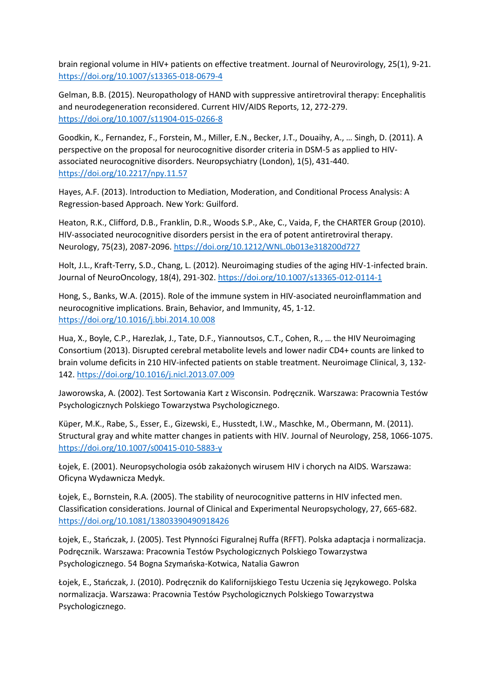brain regional volume in HIV+ patients on effective treatment. Journal of Neurovirology, 25(1), 9-21. <https://doi.org/10.1007/s13365-018-0679-4>

Gelman, B.B. (2015). Neuropathology of HAND with suppressive antiretroviral therapy: Encephalitis and neurodegeneration reconsidered. Current HIV/AIDS Reports, 12, 272-279. <https://doi.org/10.1007/s11904-015-0266-8>

Goodkin, K., Fernandez, F., Forstein, M., Miller, E.N., Becker, J.T., Douaihy, A., … Singh, D. (2011). A perspective on the proposal for neurocognitive disorder criteria in DSM-5 as applied to HIVassociated neurocognitive disorders. Neuropsychiatry (London), 1(5), 431-440. <https://doi.org/10.2217/npy.11.57>

Hayes, A.F. (2013). Introduction to Mediation, Moderation, and Conditional Process Analysis: A Regression-based Approach. New York: Guilford.

Heaton, R.K., Clifford, D.B., Franklin, D.R., Woods S.P., Ake, C., Vaida, F, the CHARTER Group (2010). HIV-associated neurocognitive disorders persist in the era of potent antiretroviral therapy. Neurology, 75(23), 2087-2096. <https://doi.org/10.1212/WNL.0b013e318200d727>

Holt, J.L., Kraft-Terry, S.D., Chang, L. (2012). Neuroimaging studies of the aging HIV-1-infected brain. Journal of NeuroOncology, 18(4), 291-302. <https://doi.org/10.1007/s13365-012-0114-1>

Hong, S., Banks, W.A. (2015). Role of the immune system in HIV-asociated neuroinflammation and neurocognitive implications. Brain, Behavior, and Immunity, 45, 1-12. <https://doi.org/10.1016/j.bbi.2014.10.008>

Hua, X., Boyle, C.P., Harezlak, J., Tate, D.F., Yiannoutsos, C.T., Cohen, R., … the HIV Neuroimaging Consortium (2013). Disrupted cerebral metabolite levels and lower nadir CD4+ counts are linked to brain volume deficits in 210 HIV-infected patients on stable treatment. Neuroimage Clinical, 3, 132- 142. <https://doi.org/10.1016/j.nicl.2013.07.009>

Jaworowska, A. (2002). Test Sortowania Kart z Wisconsin. Podręcznik. Warszawa: Pracownia Testów Psychologicznych Polskiego Towarzystwa Psychologicznego.

Küper, M.K., Rabe, S., Esser, E., Gizewski, E., Husstedt, I.W., Maschke, M., Obermann, M. (2011). Structural gray and white matter changes in patients with HIV. Journal of Neurology, 258, 1066-1075. <https://doi.org/10.1007/s00415-010-5883-y>

Łojek, E. (2001). Neuropsychologia osób zakażonych wirusem HIV i chorych na AIDS. Warszawa: Oficyna Wydawnicza Medyk.

Łojek, E., Bornstein, R.A. (2005). The stability of neurocognitive patterns in HIV infected men. Classification considerations. Journal of Clinical and Experimental Neuropsychology, 27, 665-682. <https://doi.org/10.1081/13803390490918426>

Łojek, E., Stańczak, J. (2005). Test Płynności Figuralnej Ruffa (RFFT). Polska adaptacja i normalizacja. Podręcznik. Warszawa: Pracownia Testów Psychologicznych Polskiego Towarzystwa Psychologicznego. 54 Bogna Szymańska-Kotwica, Natalia Gawron

Łojek, E., Stańczak, J. (2010). Podręcznik do Kalifornijskiego Testu Uczenia się Językowego. Polska normalizacja. Warszawa: Pracownia Testów Psychologicznych Polskiego Towarzystwa Psychologicznego.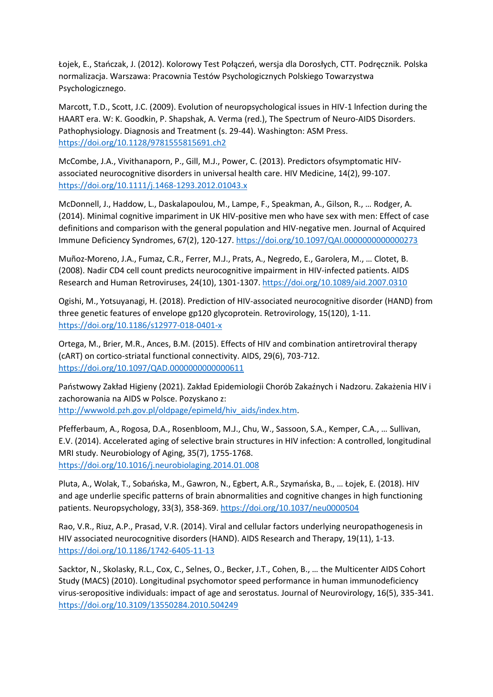Łojek, E., Stańczak, J. (2012). Kolorowy Test Połączeń, wersja dla Dorosłych, CTT. Podręcznik. Polska normalizacja. Warszawa: Pracownia Testów Psychologicznych Polskiego Towarzystwa Psychologicznego.

Marcott, T.D., Scott, J.C. (2009). Evolution of neuropsychological issues in HIV-1 lnfection during the HAART era. W: K. Goodkin, P. Shapshak, A. Verma (red.), The Spectrum of Neuro-AIDS Disorders. Pathophysiology. Diagnosis and Treatment (s. 29-44). Washington: ASM Press. <https://doi.org/10.1128/9781555815691.ch2>

McCombe, J.A., Vivithanaporn, P., Gill, M.J., Power, C. (2013). Predictors ofsymptomatic HIVassociated neurocognitive disorders in universal health care. HIV Medicine, 14(2), 99-107. <https://doi.org/10.1111/j.1468-1293.2012.01043.x>

McDonnell, J., Haddow, L., Daskalapoulou, M., Lampe, F., Speakman, A., Gilson, R., … Rodger, A. (2014). Minimal cognitive impariment in UK HIV-positive men who have sex with men: Effect of case definitions and comparison with the general population and HIV-negative men. Journal of Acquired Immune Deficiency Syndromes, 67(2), 120-127. <https://doi.org/10.1097/QAI.0000000000000273>

Muñoz-Moreno, J.A., Fumaz, C.R., Ferrer, M.J., Prats, A., Negredo, E., Garolera, M., … Clotet, B. (2008). Nadir CD4 cell count predicts neurocognitive impairment in HIV-infected patients. AIDS Research and Human Retroviruses, 24(10), 1301-1307. <https://doi.org/10.1089/aid.2007.0310>

Ogishi, M., Yotsuyanagi, H. (2018). Prediction of HIV-associated neurocognitive disorder (HAND) from three genetic features of envelope gp120 glycoprotein. Retrovirology, 15(120), 1-11. <https://doi.org/10.1186/s12977-018-0401-x>

Ortega, M., Brier, M.R., Ances, B.M. (2015). Effects of HIV and combination antiretroviral therapy (cART) on cortico-striatal functional connectivity. AIDS, 29(6), 703-712. <https://doi.org/10.1097/QAD.0000000000000611>

Państwowy Zakład Higieny (2021). Zakład Epidemiologii Chorób Zakaźnych i Nadzoru. Zakażenia HIV i zachorowania na AIDS w Polsce. Pozyskano z: [http://wwwold.pzh.gov.pl/oldpage/epimeld/hiv\\_aids/index.htm.](http://wwwold.pzh.gov.pl/oldpage/epimeld/hiv_aids/index.htm)

Pfefferbaum, A., Rogosa, D.A., Rosenbloom, M.J., Chu, W., Sassoon, S.A., Kemper, C.A., … Sullivan, E.V. (2014). Accelerated aging of selective brain structures in HIV infection: A controlled, longitudinal MRI study. Neurobiology of Aging, 35(7), 1755-1768. <https://doi.org/10.1016/j.neurobiolaging.2014.01.008>

Pluta, A., Wolak, T., Sobańska, M., Gawron, N., Egbert, A.R., Szymańska, B., … Łojek, E. (2018). HIV and age underlie specific patterns of brain abnormalities and cognitive changes in high functioning patients. Neuropsychology, 33(3), 358-369. <https://doi.org/10.1037/neu0000504>

Rao, V.R., Riuz, A.P., Prasad, V.R. (2014). Viral and cellular factors underlying neuropathogenesis in HIV associated neurocognitive disorders (HAND). AIDS Research and Therapy, 19(11), 1-13. <https://doi.org/10.1186/1742-6405-11-13>

Sacktor, N., Skolasky, R.L., Cox, C., Selnes, O., Becker, J.T., Cohen, B., … the Multicenter AIDS Cohort Study (MACS) (2010). Longitudinal psychomotor speed performance in human immunodeficiency virus-seropositive individuals: impact of age and serostatus. Journal of Neurovirology, 16(5), 335-341. <https://doi.org/10.3109/13550284.2010.504249>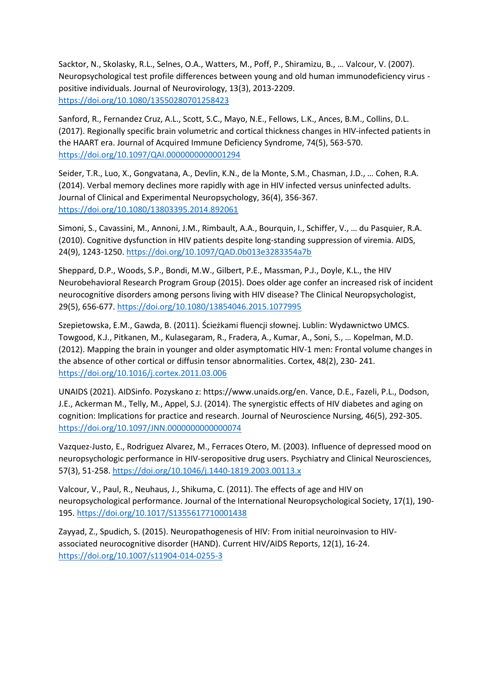Sacktor, N., Skolasky, R.L., Selnes, O.A., Watters, M., Poff, P., Shiramizu, B., … Valcour, V. (2007). Neuropsychological test profile differences between young and old human immunodeficiency virus positive individuals. Journal of Neurovirology, 13(3), 2013-2209. <https://doi.org/10.1080/13550280701258423>

Sanford, R., Fernandez Cruz, A.L., Scott, S.C., Mayo, N.E., Fellows, L.K., Ances, B.M., Collins, D.L. (2017). Regionally specific brain volumetric and cortical thickness changes in HIV-infected patients in the HAART era. Journal of Acquired Immune Deficiency Syndrome, 74(5), 563-570. <https://doi.org/10.1097/QAI.0000000000001294>

Seider, T.R., Luo, X., Gongvatana, A., Devlin, K.N., de la Monte, S.M., Chasman, J.D., … Cohen, R.A. (2014). Verbal memory declines more rapidly with age in HIV infected versus uninfected adults. Journal of Clinical and Experimental Neuropsychology, 36(4), 356-367. <https://doi.org/10.1080/13803395.2014.892061>

Simoni, S., Cavassini, M., Annoni, J.M., Rimbault, A.A., Bourquin, I., Schiffer, V., … du Pasquier, R.A. (2010). Cognitive dysfunction in HIV patients despite long-standing suppression of viremia. AIDS, 24(9), 1243-1250. <https://doi.org/10.1097/QAD.0b013e3283354a7b>

Sheppard, D.P., Woods, S.P., Bondi, M.W., Gilbert, P.E., Massman, P.J., Doyle, K.L., the HIV Neurobehavioral Research Program Group (2015). Does older age confer an increased risk of incident neurocognitive disorders among persons living with HIV disease? The Clinical Neuropsychologist, 29(5), 656-677. <https://doi.org/10.1080/13854046.2015.1077995>

Szepietowska, E.M., Gawda, B. (2011). Ścieżkami fluencji słownej. Lublin: Wydawnictwo UMCS. Towgood, K.J., Pitkanen, M., Kulasegaram, R., Fradera, A., Kumar, A., Soni, S., … Kopelman, M.D. (2012). Mapping the brain in younger and older asymptomatic HIV-1 men: Frontal volume changes in the absence of other cortical or diffusin tensor abnormalities. Cortex, 48(2), 230- 241. <https://doi.org/10.1016/j.cortex.2011.03.006>

UNAIDS (2021). AIDSinfo. Pozyskano z: https://www.unaids.org/en. Vance, D.E., Fazeli, P.L., Dodson, J.E., Ackerman M., Telly, M., Appel, S.J. (2014). The synergistic effects of HIV diabetes and aging on cognition: Implications for practice and research. Journal of Neuroscience Nursing, 46(5), 292-305. <https://doi.org/10.1097/JNN.0000000000000074>

Vazquez-Justo, E., Rodriguez Alvarez, M., Ferraces Otero, M. (2003). Influence of depressed mood on neuropsychologic performance in HIV-seropositive drug users. Psychiatry and Clinical Neurosciences, 57(3), 51-258. <https://doi.org/10.1046/j.1440-1819.2003.00113.x>

Valcour, V., Paul, R., Neuhaus, J., Shikuma, C. (2011). The effects of age and HIV on neuropsychological performance. Journal of the International Neuropsychological Society, 17(1), 190- 195. <https://doi.org/10.1017/S1355617710001438>

Zayyad, Z., Spudich, S. (2015). Neuropathogenesis of HIV: From initial neuroinvasion to HIVassociated neurocognitive disorder (HAND). Current HIV/AIDS Reports, 12(1), 16-24. <https://doi.org/10.1007/s11904-014-0255-3>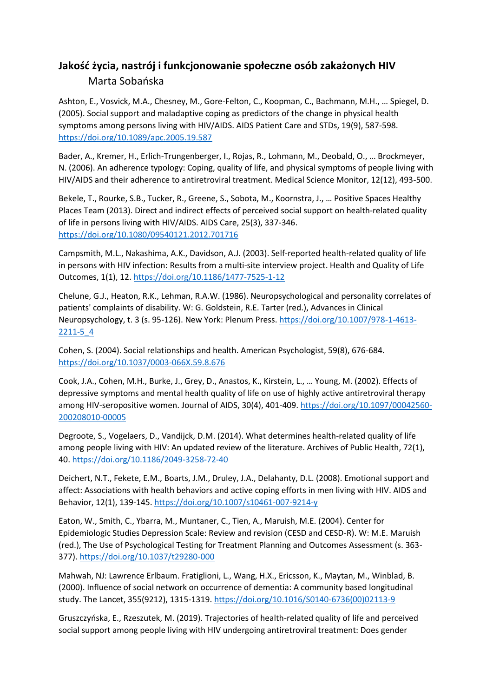## **Jakość życia, nastrój i funkcjonowanie społeczne osób zakażonych HIV** Marta Sobańska

Ashton, E., Vosvick, M.A., Chesney, M., Gore-Felton, C., Koopman, C., Bachmann, M.H., … Spiegel, D. (2005). Social support and maladaptive coping as predictors of the change in physical health symptoms among persons living with HIV/AIDS. AIDS Patient Care and STDs, 19(9), 587-598. <https://doi.org/10.1089/apc.2005.19.587>

Bader, A., Kremer, H., Erlich-Trungenberger, I., Rojas, R., Lohmann, M., Deobald, O., … Brockmeyer, N. (2006). An adherence typology: Coping, quality of life, and physical symptoms of people living with HIV/AIDS and their adherence to antiretroviral treatment. Medical Science Monitor, 12(12), 493-500.

Bekele, T., Rourke, S.B., Tucker, R., Greene, S., Sobota, M., Koornstra, J., … Positive Spaces Healthy Places Team (2013). Direct and indirect effects of perceived social support on health-related quality of life in persons living with HIV/AIDS. AIDS Care, 25(3), 337-346. <https://doi.org/10.1080/09540121.2012.701716>

Campsmith, M.L., Nakashima, A.K., Davidson, A.J. (2003). Self-reported health-related quality of life in persons with HIV infection: Results from a multi-site interview project. Health and Quality of Life Outcomes, 1(1), 12. <https://doi.org/10.1186/1477-7525-1-12>

Chelune, G.J., Heaton, R.K., Lehman, R.A.W. (1986). Neuropsychological and personality correlates of patients' complaints of disability. W: G. Goldstein, R.E. Tarter (red.), Advances in Clinical Neuropsychology, t. 3 (s. 95-126). New York: Plenum Press. [https://doi.org/10.1007/978-1-4613-](https://doi.org/10.1007/978-1-4613-2211-5_4) [2211-5\\_4](https://doi.org/10.1007/978-1-4613-2211-5_4)

Cohen, S. (2004). Social relationships and health. American Psychologist, 59(8), 676-684. <https://doi.org/10.1037/0003-066X.59.8.676>

Cook, J.A., Cohen, M.H., Burke, J., Grey, D., Anastos, K., Kirstein, L., … Young, M. (2002). Effects of depressive symptoms and mental health quality of life on use of highly active antiretroviral therapy among HIV-seropositive women. Journal of AIDS, 30(4), 401-409. [https://doi.org/10.1097/00042560-](https://doi.org/10.1097/00042560-200208010-00005) [200208010-00005](https://doi.org/10.1097/00042560-200208010-00005)

Degroote, S., Vogelaers, D., Vandijck, D.M. (2014). What determines health-related quality of life among people living with HIV: An updated review of the literature. Archives of Public Health, 72(1), 40. <https://doi.org/10.1186/2049-3258-72-40>

Deichert, N.T., Fekete, E.M., Boarts, J.M., Druley, J.A., Delahanty, D.L. (2008). Emotional support and affect: Associations with health behaviors and active coping efforts in men living with HIV. AIDS and Behavior, 12(1), 139-145. <https://doi.org/10.1007/s10461-007-9214-y>

Eaton, W., Smith, C., Ybarra, M., Muntaner, C., Tien, A., Maruish, M.E. (2004). Center for Epidemiologic Studies Depression Scale: Review and revision (CESD and CESD-R). W: M.E. Maruish (red.), The Use of Psychological Testing for Treatment Planning and Outcomes Assessment (s. 363- 377). <https://doi.org/10.1037/t29280-000>

Mahwah, NJ: Lawrence Erlbaum. Fratiglioni, L., Wang, H.X., Ericsson, K., Maytan, M., Winblad, B. (2000). Influence of social network on occurrence of dementia: A community based longitudinal study. The Lancet, 355(9212), 1315-1319. [https://doi.org/10.1016/S0140-6736\(00\)02113-9](https://doi.org/10.1016/S0140-6736(00)02113-9)

Gruszczyńska, E., Rzeszutek, M. (2019). Trajectories of health-related quality of life and perceived social support among people living with HIV undergoing antiretroviral treatment: Does gender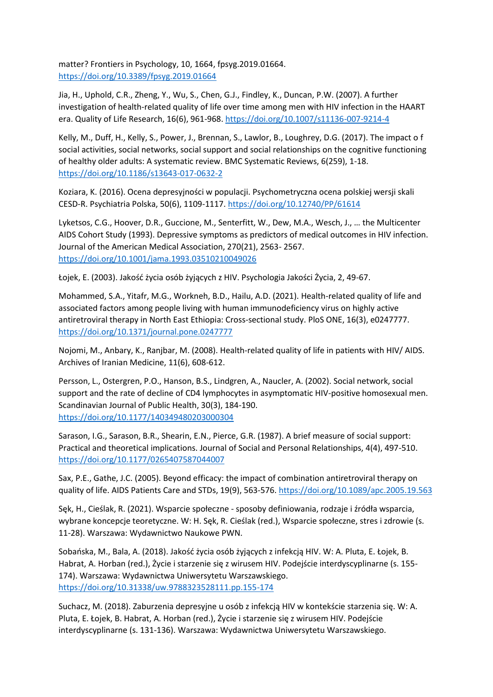matter? Frontiers in Psychology, 10, 1664, fpsyg.2019.01664. <https://doi.org/10.3389/fpsyg.2019.01664>

Jia, H., Uphold, C.R., Zheng, Y., Wu, S., Chen, G.J., Findley, K., Duncan, P.W. (2007). A further investigation of health-related quality of life over time among men with HIV infection in the HAART era. Quality of Life Research, 16(6), 961-968. <https://doi.org/10.1007/s11136-007-9214-4>

Kelly, M., Duff, H., Kelly, S., Power, J., Brennan, S., Lawlor, B., Loughrey, D.G. (2017). The impact o f social activities, social networks, social support and social relationships on the cognitive functioning of healthy older adults: A systematic review. BMC Systematic Reviews, 6(259), 1-18. <https://doi.org/10.1186/s13643-017-0632-2>

Koziara, K. (2016). Ocena depresyjności w populacji. Psychometryczna ocena polskiej wersji skali CESD-R. Psychiatria Polska, 50(6), 1109-1117. <https://doi.org/10.12740/PP/61614>

Lyketsos, C.G., Hoover, D.R., Guccione, M., Senterfitt, W., Dew, M.A., Wesch, J., … the Multicenter AIDS Cohort Study (1993). Depressive symptoms as predictors of medical outcomes in HIV infection. Journal of the American Medical Association, 270(21), 2563- 2567. <https://doi.org/10.1001/jama.1993.03510210049026>

Łojek, E. (2003). Jakość życia osób żyjących z HIV. Psychologia Jakości Życia, 2, 49-67.

Mohammed, S.A., Yitafr, M.G., Workneh, B.D., Hailu, A.D. (2021). Health-related quality of life and associated factors among people living with human immunodeficiency virus on highly active antiretroviral therapy in North East Ethiopia: Cross-sectional study. PloS ONE, 16(3), e0247777. <https://doi.org/10.1371/journal.pone.0247777>

Nojomi, M., Anbary, K., Ranjbar, M. (2008). Health-related quality of life in patients with HIV/ AIDS. Archives of Iranian Medicine, 11(6), 608-612.

Persson, L., Ostergren, P.O., Hanson, B.S., Lindgren, A., Naucler, A. (2002). Social network, social support and the rate of decline of CD4 lymphocytes in asymptomatic HIV-positive homosexual men. Scandinavian Journal of Public Health, 30(3), 184-190. <https://doi.org/10.1177/140349480203000304>

Sarason, I.G., Sarason, B.R., Shearin, E.N., Pierce, G.R. (1987). A brief measure of social support: Practical and theoretical implications. Journal of Social and Personal Relationships, 4(4), 497-510. <https://doi.org/10.1177/0265407587044007>

Sax, P.E., Gathe, J.C. (2005). Beyond efficacy: the impact of combination antiretroviral therapy on quality of life. AIDS Patients Care and STDs, 19(9), 563-576. <https://doi.org/10.1089/apc.2005.19.563>

Sęk, H., Cieślak, R. (2021). Wsparcie społeczne - sposoby definiowania, rodzaje i źródła wsparcia, wybrane koncepcje teoretyczne. W: H. Sęk, R. Cieślak (red.), Wsparcie społeczne, stres i zdrowie (s. 11-28). Warszawa: Wydawnictwo Naukowe PWN.

Sobańska, M., Bala, A. (2018). Jakość życia osób żyjących z infekcją HIV. W: A. Pluta, E. Łojek, B. Habrat, A. Horban (red.), Życie i starzenie się z wirusem HIV. Podejście interdyscyplinarne (s. 155- 174). Warszawa: Wydawnictwa Uniwersytetu Warszawskiego. <https://doi.org/10.31338/uw.9788323528111.pp.155-174>

Suchacz, M. (2018). Zaburzenia depresyjne u osób z infekcją HIV w kontekście starzenia się. W: A. Pluta, E. Łojek, B. Habrat, A. Horban (red.), Życie i starzenie się z wirusem HIV. Podejście interdyscyplinarne (s. 131-136). Warszawa: Wydawnictwa Uniwersytetu Warszawskiego.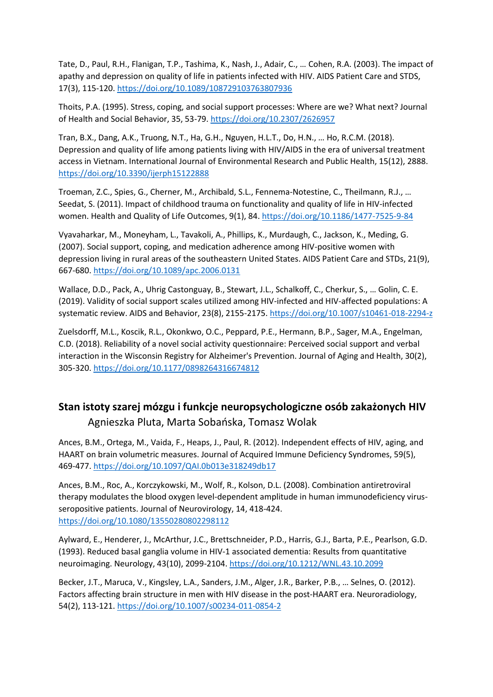Tate, D., Paul, R.H., Flanigan, T.P., Tashima, K., Nash, J., Adair, C., … Cohen, R.A. (2003). The impact of apathy and depression on quality of life in patients infected with HIV. AIDS Patient Care and STDS, 17(3), 115-120. <https://doi.org/10.1089/108729103763807936>

Thoits, P.A. (1995). Stress, coping, and social support processes: Where are we? What next? Journal of Health and Social Behavior, 35, 53-79. <https://doi.org/10.2307/2626957>

Tran, B.X., Dang, A.K., Truong, N.T., Ha, G.H., Nguyen, H.L.T., Do, H.N., … Ho, R.C.M. (2018). Depression and quality of life among patients living with HIV/AIDS in the era of universal treatment access in Vietnam. International Journal of Environmental Research and Public Health, 15(12), 2888. <https://doi.org/10.3390/ijerph15122888>

Troeman, Z.C., Spies, G., Cherner, M., Archibald, S.L., Fennema-Notestine, C., Theilmann, R.J., … Seedat, S. (2011). Impact of childhood trauma on functionality and quality of life in HIV-infected women. Health and Quality of Life Outcomes, 9(1), 84. <https://doi.org/10.1186/1477-7525-9-84>

Vyavaharkar, M., Moneyham, L., Tavakoli, A., Phillips, K., Murdaugh, C., Jackson, K., Meding, G. (2007). Social support, coping, and medication adherence among HIV-positive women with depression living in rural areas of the southeastern United States. AIDS Patient Care and STDs, 21(9), 667-680. <https://doi.org/10.1089/apc.2006.0131>

Wallace, D.D., Pack, A., Uhrig Castonguay, B., Stewart, J.L., Schalkoff, C., Cherkur, S., … Golin, C. E. (2019). Validity of social support scales utilized among HIV-infected and HIV-affected populations: A systematic review. AIDS and Behavior, 23(8), 2155-2175. <https://doi.org/10.1007/s10461-018-2294-z>

Zuelsdorff, M.L., Koscik, R.L., Okonkwo, O.C., Peppard, P.E., Hermann, B.P., Sager, M.A., Engelman, C.D. (2018). Reliability of a novel social activity questionnaire: Perceived social support and verbal interaction in the Wisconsin Registry for Alzheimer's Prevention. Journal of Aging and Health, 30(2), 305-320. <https://doi.org/10.1177/0898264316674812>

### **Stan istoty szarej mózgu i funkcje neuropsychologiczne osób zakażonych HIV** Agnieszka Pluta, Marta Sobańska, Tomasz Wolak

Ances, B.M., Ortega, M., Vaida, F., Heaps, J., Paul, R. (2012). Independent effects of HIV, aging, and HAART on brain volumetric measures. Journal of Acquired Immune Deficiency Syndromes, 59(5), 469-477. <https://doi.org/10.1097/QAI.0b013e318249db17>

Ances, B.M., Roc, A., Korczykowski, M., Wolf, R., Kolson, D.L. (2008). Combination antiretroviral therapy modulates the blood oxygen level-dependent amplitude in human immunodeficiency virusseropositive patients. Journal of Neurovirology, 14, 418-424. <https://doi.org/10.1080/13550280802298112>

Aylward, E., Henderer, J., McArthur, J.C., Brettschneider, P.D., Harris, G.J., Barta, P.E., Pearlson, G.D. (1993). Reduced basal ganglia volume in HIV-1 associated dementia: Results from quantitative neuroimaging. Neurology, 43(10), 2099-2104. <https://doi.org/10.1212/WNL.43.10.2099>

Becker, J.T., Maruca, V., Kingsley, L.A., Sanders, J.M., Alger, J.R., Barker, P.B., … Selnes, O. (2012). Factors affecting brain structure in men with HIV disease in the post-HAART era. Neuroradiology, 54(2), 113-121. <https://doi.org/10.1007/s00234-011-0854-2>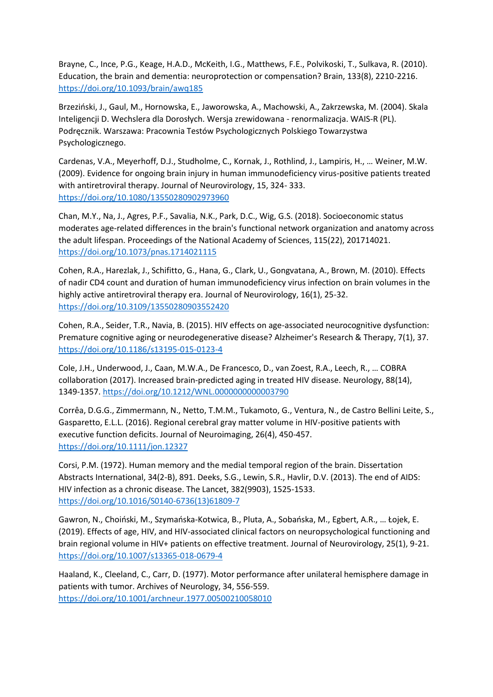Brayne, C., Ince, P.G., Keage, H.A.D., McKeith, I.G., Matthews, F.E., Polvikoski, T., Sulkava, R. (2010). Education, the brain and dementia: neuroprotection or compensation? Brain, 133(8), 2210-2216. <https://doi.org/10.1093/brain/awq185>

Brzeziński, J., Gaul, M., Hornowska, E., Jaworowska, A., Machowski, A., Zakrzewska, M. (2004). Skala Inteligencji D. Wechslera dla Dorosłych. Wersja zrewidowana - renormalizacja. WAIS-R (PL). Podręcznik. Warszawa: Pracownia Testów Psychologicznych Polskiego Towarzystwa Psychologicznego.

Cardenas, V.A., Meyerhoff, D.J., Studholme, C., Kornak, J., Rothlind, J., Lampiris, H., … Weiner, M.W. (2009). Evidence for ongoing brain injury in human immunodeficiency virus-positive patients treated with antiretroviral therapy. Journal of Neurovirology, 15, 324- 333. <https://doi.org/10.1080/13550280902973960>

Chan, M.Y., Na, J., Agres, P.F., Savalia, N.K., Park, D.C., Wig, G.S. (2018). Socioeconomic status moderates age-related differences in the brain's functional network organization and anatomy across the adult lifespan. Proceedings of the National Academy of Sciences, 115(22), 201714021. <https://doi.org/10.1073/pnas.1714021115>

Cohen, R.A., Harezlak, J., Schifitto, G., Hana, G., Clark, U., Gongvatana, A., Brown, M. (2010). Effects of nadir CD4 count and duration of human immunodeficiency virus infection on brain volumes in the highly active antiretroviral therapy era. Journal of Neurovirology, 16(1), 25-32. <https://doi.org/10.3109/13550280903552420>

Cohen, R.A., Seider, T.R., Navia, B. (2015). HIV effects on age-associated neurocognitive dysfunction: Premature cognitive aging or neurodegenerative disease? Alzheimer's Research & Therapy, 7(1), 37. <https://doi.org/10.1186/s13195-015-0123-4>

Cole, J.H., Underwood, J., Caan, M.W.A., De Francesco, D., van Zoest, R.A., Leech, R., … COBRA collaboration (2017). Increased brain-predicted aging in treated HIV disease. Neurology, 88(14), 1349-1357. <https://doi.org/10.1212/WNL.0000000000003790>

Corrêa, D.G.G., Zimmermann, N., Netto, T.M.M., Tukamoto, G., Ventura, N., de Castro Bellini Leite, S., Gasparetto, E.L.L. (2016). Regional cerebral gray matter volume in HIV-positive patients with executive function deficits. Journal of Neuroimaging, 26(4), 450-457. <https://doi.org/10.1111/jon.12327>

Corsi, P.M. (1972). Human memory and the medial temporal region of the brain. Dissertation Abstracts International, 34(2-B), 891. Deeks, S.G., Lewin, S.R., Havlir, D.V. (2013). The end of AIDS: HIV infection as a chronic disease. The Lancet, 382(9903), 1525-1533. [https://doi.org/10.1016/S0140-6736\(13\)61809-7](https://doi.org/10.1016/S0140-6736(13)61809-7)

Gawron, N., Choiński, M., Szymańska-Kotwica, B., Pluta, A., Sobańska, M., Egbert, A.R., … Łojek, E. (2019). Effects of age, HIV, and HIV-associated clinical factors on neuropsychological functioning and brain regional volume in HIV+ patients on effective treatment. Journal of Neurovirology, 25(1), 9-21. <https://doi.org/10.1007/s13365-018-0679-4>

Haaland, K., Cleeland, C., Carr, D. (1977). Motor performance after unilateral hemisphere damage in patients with tumor. Archives of Neurology, 34, 556-559. <https://doi.org/10.1001/archneur.1977.00500210058010>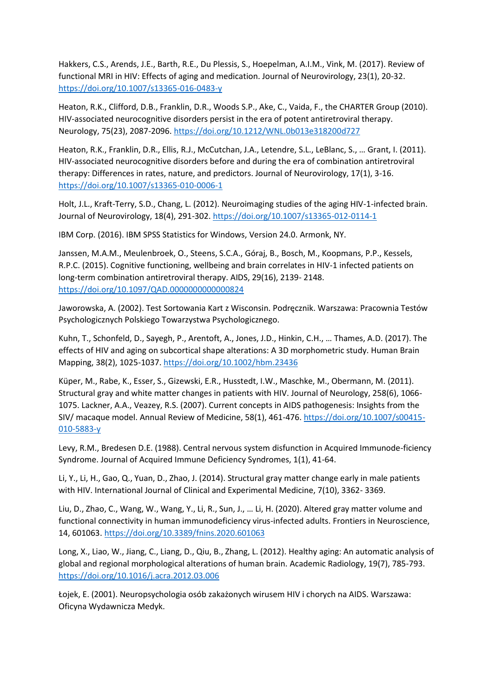Hakkers, C.S., Arends, J.E., Barth, R.E., Du Plessis, S., Hoepelman, A.I.M., Vink, M. (2017). Review of functional MRI in HIV: Effects of aging and medication. Journal of Neurovirology, 23(1), 20-32. <https://doi.org/10.1007/s13365-016-0483-y>

Heaton, R.K., Clifford, D.B., Franklin, D.R., Woods S.P., Ake, C., Vaida, F., the CHARTER Group (2010). HIV-associated neurocognitive disorders persist in the era of potent antiretroviral therapy. Neurology, 75(23), 2087-2096. <https://doi.org/10.1212/WNL.0b013e318200d727>

Heaton, R.K., Franklin, D.R., Ellis, R.J., McCutchan, J.A., Letendre, S.L., LeBlanc, S., … Grant, I. (2011). HIV-associated neurocognitive disorders before and during the era of combination antiretroviral therapy: Differences in rates, nature, and predictors. Journal of Neurovirology, 17(1), 3-16. <https://doi.org/10.1007/s13365-010-0006-1>

Holt, J.L., Kraft-Terry, S.D., Chang, L. (2012). Neuroimaging studies of the aging HIV-1-infected brain. Journal of Neurovirology, 18(4), 291-302. <https://doi.org/10.1007/s13365-012-0114-1>

IBM Corp. (2016). IBM SPSS Statistics for Windows, Version 24.0. Armonk, NY.

Janssen, M.A.M., Meulenbroek, O., Steens, S.C.A., Góraj, B., Bosch, M., Koopmans, P.P., Kessels, R.P.C. (2015). Cognitive functioning, wellbeing and brain correlates in HIV-1 infected patients on long-term combination antiretroviral therapy. AIDS, 29(16), 2139- 2148. <https://doi.org/10.1097/QAD.0000000000000824>

Jaworowska, A. (2002). Test Sortowania Kart z Wisconsin. Podręcznik. Warszawa: Pracownia Testów Psychologicznych Polskiego Towarzystwa Psychologicznego.

Kuhn, T., Schonfeld, D., Sayegh, P., Arentoft, A., Jones, J.D., Hinkin, C.H., … Thames, A.D. (2017). The effects of HIV and aging on subcortical shape alterations: A 3D morphometric study. Human Brain Mapping, 38(2), 1025-1037. <https://doi.org/10.1002/hbm.23436>

Küper, M., Rabe, K., Esser, S., Gizewski, E.R., Husstedt, I.W., Maschke, M., Obermann, M. (2011). Structural gray and white matter changes in patients with HIV. Journal of Neurology, 258(6), 1066- 1075. Lackner, A.A., Veazey, R.S. (2007). Current concepts in AIDS pathogenesis: Insights from the SIV/ macaque model. Annual Review of Medicine, 58(1), 461-476. [https://doi.org/10.1007/s00415-](https://doi.org/10.1007/s00415-010-5883-y) [010-5883-y](https://doi.org/10.1007/s00415-010-5883-y)

Levy, R.M., Bredesen D.E. (1988). Central nervous system disfunction in Acquired Immunode-ficiency Syndrome. Journal of Acquired Immune Deficiency Syndromes, 1(1), 41-64.

Li, Y., Li, H., Gao, Q., Yuan, D., Zhao, J. (2014). Structural gray matter change early in male patients with HIV. International Journal of Clinical and Experimental Medicine, 7(10), 3362- 3369.

Liu, D., Zhao, C., Wang, W., Wang, Y., Li, R., Sun, J., … Li, H. (2020). Altered gray matter volume and functional connectivity in human immunodeficiency virus-infected adults. Frontiers in Neuroscience, 14, 601063. <https://doi.org/10.3389/fnins.2020.601063>

Long, X., Liao, W., Jiang, C., Liang, D., Qiu, B., Zhang, L. (2012). Healthy aging: An automatic analysis of global and regional morphological alterations of human brain. Academic Radiology, 19(7), 785-793. <https://doi.org/10.1016/j.acra.2012.03.006>

Łojek, E. (2001). Neuropsychologia osób zakażonych wirusem HIV i chorych na AIDS. Warszawa: Oficyna Wydawnicza Medyk.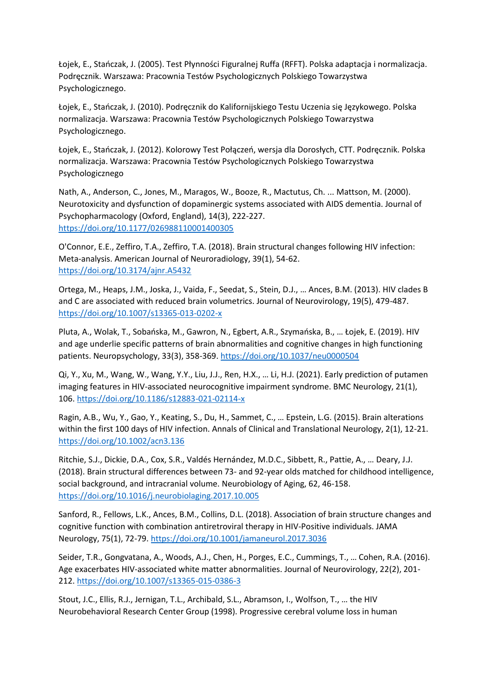Łojek, E., Stańczak, J. (2005). Test Płynności Figuralnej Ruffa (RFFT). Polska adaptacja i normalizacja. Podręcznik. Warszawa: Pracownia Testów Psychologicznych Polskiego Towarzystwa Psychologicznego.

Łojek, E., Stańczak, J. (2010). Podręcznik do Kalifornijskiego Testu Uczenia się Językowego. Polska normalizacja. Warszawa: Pracownia Testów Psychologicznych Polskiego Towarzystwa Psychologicznego.

Łojek, E., Stańczak, J. (2012). Kolorowy Test Połączeń, wersja dla Dorosłych, CTT. Podręcznik. Polska normalizacja. Warszawa: Pracownia Testów Psychologicznych Polskiego Towarzystwa Psychologicznego

Nath, A., Anderson, C., Jones, M., Maragos, W., Booze, R., Mactutus, Ch. ... Mattson, M. (2000). Neurotoxicity and dysfunction of dopaminergic systems associated with AIDS dementia. Journal of Psychopharmacology (Oxford, England), 14(3), 222-227. <https://doi.org/10.1177/026988110001400305>

O'Connor, E.E., Zeffiro, T.A., Zeffiro, T.A. (2018). Brain structural changes following HIV infection: Meta-analysis. American Journal of Neuroradiology, 39(1), 54-62. <https://doi.org/10.3174/ajnr.A5432>

Ortega, M., Heaps, J.M., Joska, J., Vaida, F., Seedat, S., Stein, D.J., … Ances, B.M. (2013). HIV clades B and C are associated with reduced brain volumetrics. Journal of Neurovirology, 19(5), 479-487. <https://doi.org/10.1007/s13365-013-0202-x>

Pluta, A., Wolak, T., Sobańska, M., Gawron, N., Egbert, A.R., Szymańska, B., … Łojek, E. (2019). HIV and age underlie specific patterns of brain abnormalities and cognitive changes in high functioning patients. Neuropsychology, 33(3), 358-369. <https://doi.org/10.1037/neu0000504>

Qi, Y., Xu, M., Wang, W., Wang, Y.Y., Liu, J.J., Ren, H.X., … Li, H.J. (2021). Early prediction of putamen imaging features in HIV-associated neurocognitive impairment syndrome. BMC Neurology, 21(1), 106. <https://doi.org/10.1186/s12883-021-02114-x>

Ragin, A.B., Wu, Y., Gao, Y., Keating, S., Du, H., Sammet, C., … Epstein, L.G. (2015). Brain alterations within the first 100 days of HIV infection. Annals of Clinical and Translational Neurology, 2(1), 12-21. <https://doi.org/10.1002/acn3.136>

Ritchie, S.J., Dickie, D.A., Cox, S.R., Valdés Hernández, M.D.C., Sibbett, R., Pattie, A., … Deary, J.J. (2018). Brain structural differences between 73- and 92-year olds matched for childhood intelligence, social background, and intracranial volume. Neurobiology of Aging, 62, 46-158. <https://doi.org/10.1016/j.neurobiolaging.2017.10.005>

Sanford, R., Fellows, L.K., Ances, B.M., Collins, D.L. (2018). Association of brain structure changes and cognitive function with combination antiretroviral therapy in HIV-Positive individuals. JAMA Neurology, 75(1), 72-79. <https://doi.org/10.1001/jamaneurol.2017.3036>

Seider, T.R., Gongvatana, A., Woods, A.J., Chen, H., Porges, E.C., Cummings, T., … Cohen, R.A. (2016). Age exacerbates HIV-associated white matter abnormalities. Journal of Neurovirology, 22(2), 201- 212. <https://doi.org/10.1007/s13365-015-0386-3>

Stout, J.C., Ellis, R.J., Jernigan, T.L., Archibald, S.L., Abramson, I., Wolfson, T., … the HIV Neurobehavioral Research Center Group (1998). Progressive cerebral volume loss in human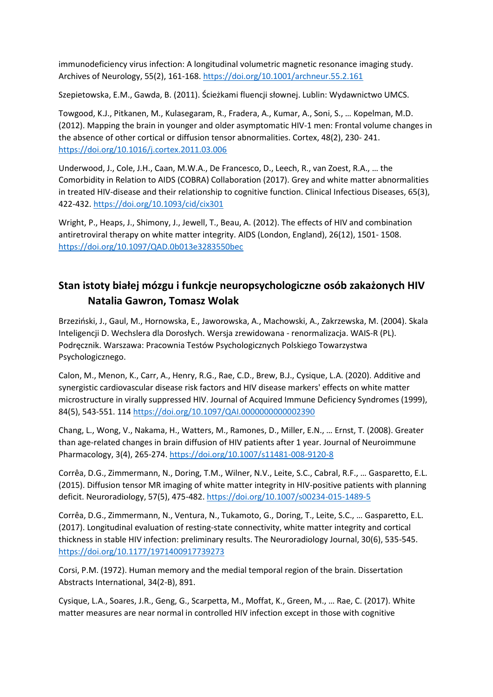immunodeficiency virus infection: A longitudinal volumetric magnetic resonance imaging study. Archives of Neurology, 55(2), 161-168. <https://doi.org/10.1001/archneur.55.2.161>

Szepietowska, E.M., Gawda, B. (2011). Ścieżkami fluencji słownej. Lublin: Wydawnictwo UMCS.

Towgood, K.J., Pitkanen, M., Kulasegaram, R., Fradera, A., Kumar, A., Soni, S., … Kopelman, M.D. (2012). Mapping the brain in younger and older asymptomatic HIV-1 men: Frontal volume changes in the absence of other cortical or diffusion tensor abnormalities. Cortex, 48(2), 230- 241. <https://doi.org/10.1016/j.cortex.2011.03.006>

Underwood, J., Cole, J.H., Caan, M.W.A., De Francesco, D., Leech, R., van Zoest, R.A., … the Comorbidity in Relation to AIDS (COBRA) Collaboration (2017). Grey and white matter abnormalities in treated HIV-disease and their relationship to cognitive function. Clinical Infectious Diseases, 65(3), 422-432. <https://doi.org/10.1093/cid/cix301>

Wright, P., Heaps, J., Shimony, J., Jewell, T., Beau, A. (2012). The effects of HIV and combination antiretroviral therapy on white matter integrity. AIDS (London, England), 26(12), 1501- 1508. <https://doi.org/10.1097/QAD.0b013e3283550bec>

### **Stan istoty białej mózgu i funkcje neuropsychologiczne osób zakażonych HIV Natalia Gawron, Tomasz Wolak**

Brzeziński, J., Gaul, M., Hornowska, E., Jaworowska, A., Machowski, A., Zakrzewska, M. (2004). Skala Inteligencji D. Wechslera dla Dorosłych. Wersja zrewidowana - renormalizacja. WAIS-R (PL). Podręcznik. Warszawa: Pracownia Testów Psychologicznych Polskiego Towarzystwa Psychologicznego.

Calon, M., Menon, K., Carr, A., Henry, R.G., Rae, C.D., Brew, B.J., Cysique, L.A. (2020). Additive and synergistic cardiovascular disease risk factors and HIV disease markers' effects on white matter microstructure in virally suppressed HIV. Journal of Acquired Immune Deficiency Syndromes (1999), 84(5), 543-551. 114 <https://doi.org/10.1097/QAI.0000000000002390>

Chang, L., Wong, V., Nakama, H., Watters, M., Ramones, D., Miller, E.N., … Ernst, T. (2008). Greater than age-related changes in brain diffusion of HIV patients after 1 year. Journal of Neuroimmune Pharmacology, 3(4), 265-274. <https://doi.org/10.1007/s11481-008-9120-8>

Corrêa, D.G., Zimmermann, N., Doring, T.M., Wilner, N.V., Leite, S.C., Cabral, R.F., … Gasparetto, E.L. (2015). Diffusion tensor MR imaging of white matter integrity in HIV-positive patients with planning deficit. Neuroradiology, 57(5), 475-482. <https://doi.org/10.1007/s00234-015-1489-5>

Corrêa, D.G., Zimmermann, N., Ventura, N., Tukamoto, G., Doring, T., Leite, S.C., … Gasparetto, E.L. (2017). Longitudinal evaluation of resting-state connectivity, white matter integrity and cortical thickness in stable HIV infection: preliminary results. The Neuroradiology Journal, 30(6), 535-545. <https://doi.org/10.1177/1971400917739273>

Corsi, P.M. (1972). Human memory and the medial temporal region of the brain. Dissertation Abstracts International, 34(2-B), 891.

Cysique, L.A., Soares, J.R., Geng, G., Scarpetta, M., Moffat, K., Green, M., … Rae, C. (2017). White matter measures are near normal in controlled HIV infection except in those with cognitive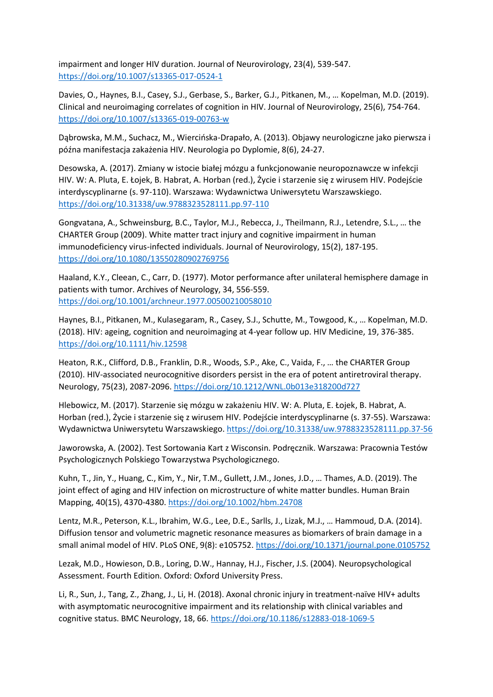impairment and longer HIV duration. Journal of Neurovirology, 23(4), 539-547. <https://doi.org/10.1007/s13365-017-0524-1>

Davies, O., Haynes, B.I., Casey, S.J., Gerbase, S., Barker, G.J., Pitkanen, M., … Kopelman, M.D. (2019). Clinical and neuroimaging correlates of cognition in HIV. Journal of Neurovirology, 25(6), 754-764. <https://doi.org/10.1007/s13365-019-00763-w>

Dąbrowska, M.M., Suchacz, M., Wiercińska-Drapało, A. (2013). Objawy neurologiczne jako pierwsza i późna manifestacja zakażenia HIV. Neurologia po Dyplomie, 8(6), 24-27.

Desowska, A. (2017). Zmiany w istocie białej mózgu a funkcjonowanie neuropoznawcze w infekcji HIV. W: A. Pluta, E. Łojek, B. Habrat, A. Horban (red.), Życie i starzenie się z wirusem HIV. Podejście interdyscyplinarne (s. 97-110). Warszawa: Wydawnictwa Uniwersytetu Warszawskiego. <https://doi.org/10.31338/uw.9788323528111.pp.97-110>

Gongvatana, A., Schweinsburg, B.C., Taylor, M.J., Rebecca, J., Theilmann, R.J., Letendre, S.L., … the CHARTER Group (2009). White matter tract injury and cognitive impairment in human immunodeficiency virus-infected individuals. Journal of Neurovirology, 15(2), 187-195. <https://doi.org/10.1080/13550280902769756>

Haaland, K.Y., Cleean, C., Carr, D. (1977). Motor performance after unilateral hemisphere damage in patients with tumor. Archives of Neurology, 34, 556-559. <https://doi.org/10.1001/archneur.1977.00500210058010>

Haynes, B.I., Pitkanen, M., Kulasegaram, R., Casey, S.J., Schutte, M., Towgood, K., … Kopelman, M.D. (2018). HIV: ageing, cognition and neuroimaging at 4-year follow up. HIV Medicine, 19, 376-385. <https://doi.org/10.1111/hiv.12598>

Heaton, R.K., Clifford, D.B., Franklin, D.R., Woods, S.P., Ake, C., Vaida, F., … the CHARTER Group (2010). HIV-associated neurocognitive disorders persist in the era of potent antiretroviral therapy. Neurology, 75(23), 2087-2096. <https://doi.org/10.1212/WNL.0b013e318200d727>

Hlebowicz, M. (2017). Starzenie się mózgu w zakażeniu HIV. W: A. Pluta, E. Łojek, B. Habrat, A. Horban (red.), Życie i starzenie się z wirusem HIV. Podejście interdyscyplinarne (s. 37-55). Warszawa: Wydawnictwa Uniwersytetu Warszawskiego. <https://doi.org/10.31338/uw.9788323528111.pp.37-56>

Jaworowska, A. (2002). Test Sortowania Kart z Wisconsin. Podręcznik. Warszawa: Pracownia Testów Psychologicznych Polskiego Towarzystwa Psychologicznego.

Kuhn, T., Jin, Y., Huang, C., Kim, Y., Nir, T.M., Gullett, J.M., Jones, J.D., … Thames, A.D. (2019). The joint effect of aging and HIV infection on microstructure of white matter bundles. Human Brain Mapping, 40(15), 4370-4380. <https://doi.org/10.1002/hbm.24708>

Lentz, M.R., Peterson, K.L., Ibrahim, W.G., Lee, D.E., Sarlls, J., Lizak, M.J., … Hammoud, D.A. (2014). Diffusion tensor and volumetric magnetic resonance measures as biomarkers of brain damage in a small animal model of HIV. PLoS ONE, 9(8): e105752. <https://doi.org/10.1371/journal.pone.0105752>

Lezak, M.D., Howieson, D.B., Loring, D.W., Hannay, H.J., Fischer, J.S. (2004). Neuropsychological Assessment. Fourth Edition. Oxford: Oxford University Press.

Li, R., Sun, J., Tang, Z., Zhang, J., Li, H. (2018). Axonal chronic injury in treatment-naïve HIV+ adults with asymptomatic neurocognitive impairment and its relationship with clinical variables and cognitive status. BMC Neurology, 18, 66. <https://doi.org/10.1186/s12883-018-1069-5>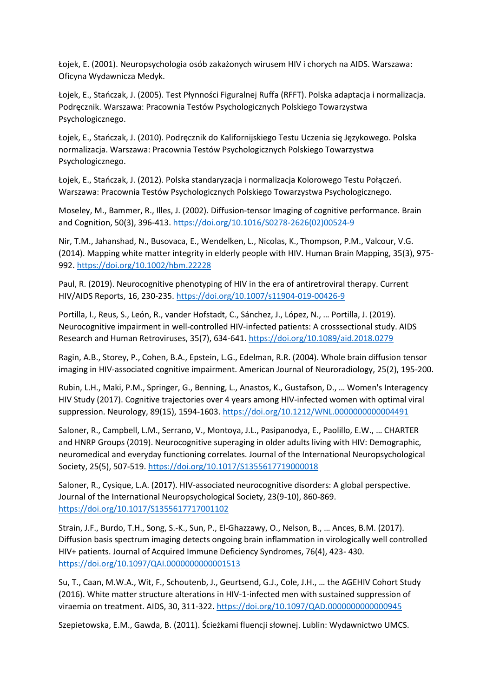Łojek, E. (2001). Neuropsychologia osób zakażonych wirusem HIV i chorych na AIDS. Warszawa: Oficyna Wydawnicza Medyk.

Łojek, E., Stańczak, J. (2005). Test Płynności Figuralnej Ruffa (RFFT). Polska adaptacja i normalizacja. Podręcznik. Warszawa: Pracownia Testów Psychologicznych Polskiego Towarzystwa Psychologicznego.

Łojek, E., Stańczak, J. (2010). Podręcznik do Kalifornijskiego Testu Uczenia się Językowego. Polska normalizacja. Warszawa: Pracownia Testów Psychologicznych Polskiego Towarzystwa Psychologicznego.

Łojek, E., Stańczak, J. (2012). Polska standaryzacja i normalizacja Kolorowego Testu Połączeń. Warszawa: Pracownia Testów Psychologicznych Polskiego Towarzystwa Psychologicznego.

Moseley, M., Bammer, R., Illes, J. (2002). Diffusion-tensor Imaging of cognitive performance. Brain and Cognition, 50(3), 396-413. [https://doi.org/10.1016/S0278-2626\(02\)00524-9](https://doi.org/10.1016/S0278-2626(02)00524-9)

Nir, T.M., Jahanshad, N., Busovaca, E., Wendelken, L., Nicolas, K., Thompson, P.M., Valcour, V.G. (2014). Mapping white matter integrity in elderly people with HIV. Human Brain Mapping, 35(3), 975- 992. <https://doi.org/10.1002/hbm.22228>

Paul, R. (2019). Neurocognitive phenotyping of HIV in the era of antiretroviral therapy. Current HIV/AIDS Reports, 16, 230-235. <https://doi.org/10.1007/s11904-019-00426-9>

Portilla, I., Reus, S., León, R., vander Hofstadt, C., Sánchez, J., López, N., … Portilla, J. (2019). Neurocognitive impairment in well-controlled HIV-infected patients: A crosssectional study. AIDS Research and Human Retroviruses, 35(7), 634-641. <https://doi.org/10.1089/aid.2018.0279>

Ragin, A.B., Storey, P., Cohen, B.A., Epstein, L.G., Edelman, R.R. (2004). Whole brain diffusion tensor imaging in HIV-associated cognitive impairment. American Journal of Neuroradiology, 25(2), 195-200.

Rubin, L.H., Maki, P.M., Springer, G., Benning, L., Anastos, K., Gustafson, D., … Women's Interagency HIV Study (2017). Cognitive trajectories over 4 years among HIV-infected women with optimal viral suppression. Neurology, 89(15), 1594-1603. <https://doi.org/10.1212/WNL.0000000000004491>

Saloner, R., Campbell, L.M., Serrano, V., Montoya, J.L., Pasipanodya, E., Paolillo, E.W., … CHARTER and HNRP Groups (2019). Neurocognitive superaging in older adults living with HIV: Demographic, neuromedical and everyday functioning correlates. Journal of the International Neuropsychological Society, 25(5), 507-519. <https://doi.org/10.1017/S1355617719000018>

Saloner, R., Cysique, L.A. (2017). HIV-associated neurocognitive disorders: A global perspective. Journal of the International Neuropsychological Society, 23(9-10), 860-869. <https://doi.org/10.1017/S1355617717001102>

Strain, J.F., Burdo, T.H., Song, S.-K., Sun, P., El-Ghazzawy, O., Nelson, B., … Ances, B.M. (2017). Diffusion basis spectrum imaging detects ongoing brain inflammation in virologically well controlled HIV+ patients. Journal of Acquired Immune Deficiency Syndromes, 76(4), 423- 430. <https://doi.org/10.1097/QAI.0000000000001513>

Su, T., Caan, M.W.A., Wit, F., Schoutenb, J., Geurtsend, G.J., Cole, J.H., … the AGEHIV Cohort Study (2016). White matter structure alterations in HIV-1-infected men with sustained suppression of viraemia on treatment. AIDS, 30, 311-322. <https://doi.org/10.1097/QAD.0000000000000945>

Szepietowska, E.M., Gawda, B. (2011). Ścieżkami fluencji słownej. Lublin: Wydawnictwo UMCS.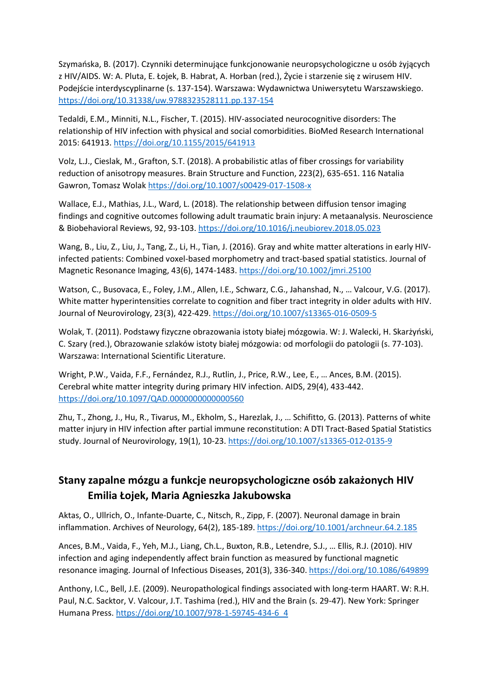Szymańska, B. (2017). Czynniki determinujące funkcjonowanie neuropsychologiczne u osób żyjących z HIV/AIDS. W: A. Pluta, E. Łojek, B. Habrat, A. Horban (red.), Życie i starzenie się z wirusem HIV. Podejście interdyscyplinarne (s. 137-154). Warszawa: Wydawnictwa Uniwersytetu Warszawskiego. <https://doi.org/10.31338/uw.9788323528111.pp.137-154>

Tedaldi, E.M., Minniti, N.L., Fischer, T. (2015). HIV-associated neurocognitive disorders: The relationship of HIV infection with physical and social comorbidities. BioMed Research International 2015: 641913. <https://doi.org/10.1155/2015/641913>

Volz, L.J., Cieslak, M., Grafton, S.T. (2018). A probabilistic atlas of fiber crossings for variability reduction of anisotropy measures. Brain Structure and Function, 223(2), 635-651. 116 Natalia Gawron, Tomasz Wolak <https://doi.org/10.1007/s00429-017-1508-x>

Wallace, E.J., Mathias, J.L., Ward, L. (2018). The relationship between diffusion tensor imaging findings and cognitive outcomes following adult traumatic brain injury: A metaanalysis. Neuroscience & Biobehavioral Reviews, 92, 93-103. <https://doi.org/10.1016/j.neubiorev.2018.05.023>

Wang, B., Liu, Z., Liu, J., Tang, Z., Li, H., Tian, J. (2016). Gray and white matter alterations in early HIVinfected patients: Combined voxel-based morphometry and tract-based spatial statistics. Journal of Magnetic Resonance Imaging, 43(6), 1474-1483. <https://doi.org/10.1002/jmri.25100>

Watson, C., Busovaca, E., Foley, J.M., Allen, I.E., Schwarz, C.G., Jahanshad, N., … Valcour, V.G. (2017). White matter hyperintensities correlate to cognition and fiber tract integrity in older adults with HIV. Journal of Neurovirology, 23(3), 422-429. <https://doi.org/10.1007/s13365-016-0509-5>

Wolak, T. (2011). Podstawy fizyczne obrazowania istoty białej mózgowia. W: J. Walecki, H. Skarżyński, C. Szary (red.), Obrazowanie szlaków istoty białej mózgowia: od morfologii do patologii (s. 77-103). Warszawa: International Scientific Literature.

Wright, P.W., Vaida, F.F., Fernández, R.J., Rutlin, J., Price, R.W., Lee, E., … Ances, B.M. (2015). Cerebral white matter integrity during primary HIV infection. AIDS, 29(4), 433-442. <https://doi.org/10.1097/QAD.0000000000000560>

Zhu, T., Zhong, J., Hu, R., Tivarus, M., Ekholm, S., Harezlak, J., … Schifitto, G. (2013). Patterns of white matter injury in HIV infection after partial immune reconstitution: A DTI Tract-Based Spatial Statistics study. Journal of Neurovirology, 19(1), 10-23. <https://doi.org/10.1007/s13365-012-0135-9>

#### **Stany zapalne mózgu a funkcje neuropsychologiczne osób zakażonych HIV Emilia Łojek, Maria Agnieszka Jakubowska**

Aktas, O., Ullrich, O., Infante-Duarte, C., Nitsch, R., Zipp, F. (2007). Neuronal damage in brain inflammation. Archives of Neurology, 64(2), 185-189. <https://doi.org/10.1001/archneur.64.2.185>

Ances, B.M., Vaida, F., Yeh, M.J., Liang, Ch.L., Buxton, R.B., Letendre, S.J., … Ellis, R.J. (2010). HIV infection and aging independently affect brain function as measured by functional magnetic resonance imaging. Journal of Infectious Diseases, 201(3), 336-340. <https://doi.org/10.1086/649899>

Anthony, I.C., Bell, J.E. (2009). Neuropathological findings associated with long-term HAART. W: R.H. Paul, N.C. Sacktor, V. Valcour, J.T. Tashima (red.), HIV and the Brain (s. 29-47). New York: Springer Humana Press. [https://doi.org/10.1007/978-1-59745-434-6\\_4](https://doi.org/10.1007/978-1-59745-434-6_4)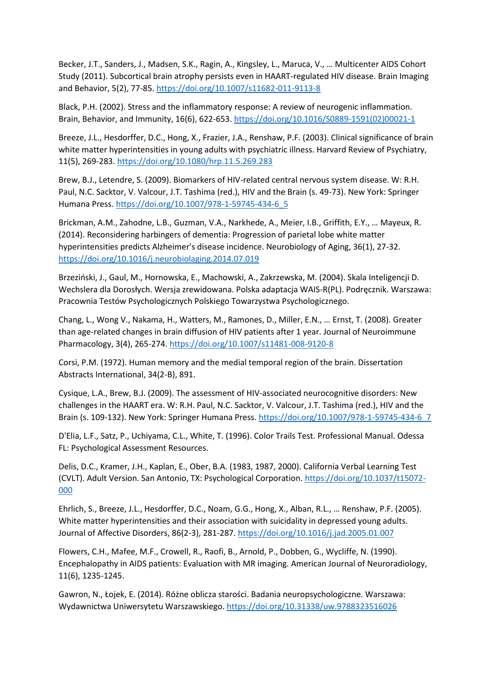Becker, J.T., Sanders, J., Madsen, S.K., Ragin, A., Kingsley, L., Maruca, V., … Multicenter AIDS Cohort Study (2011). Subcortical brain atrophy persists even in HAART-regulated HIV disease. Brain Imaging and Behavior, 5(2), 77-85. <https://doi.org/10.1007/s11682-011-9113-8>

Black, P.H. (2002). Stress and the inflammatory response: A review of neurogenic inflammation. Brain, Behavior, and Immunity, 16(6), 622-653. [https://doi.org/10.1016/S0889-1591\(02\)00021-1](https://doi.org/10.1016/S0889-1591(02)00021-1)

Breeze, J.L., Hesdorffer, D.C., Hong, X., Frazier, J.A., Renshaw, P.F. (2003). Clinical significance of brain white matter hyperintensities in young adults with psychiatric illness. Harvard Review of Psychiatry, 11(5), 269-283. <https://doi.org/10.1080/hrp.11.5.269.283>

Brew, B.J., Letendre, S. (2009). Biomarkers of HIV-related central nervous system disease. W: R.H. Paul, N.C. Sacktor, V. Valcour, J.T. Tashima (red.), HIV and the Brain (s. 49-73). New York: Springer Humana Press. [https://doi.org/10.1007/978-1-59745-434-6\\_5](https://doi.org/10.1007/978-1-59745-434-6_5)

Brickman, A.M., Zahodne, L.B., Guzman, V.A., Narkhede, A., Meier, I.B., Griffith, E.Y., … Mayeux, R. (2014). Reconsidering harbingers of dementia: Progression of parietal lobe white matter hyperintensities predicts Alzheimer's disease incidence. Neurobiology of Aging, 36(1), 27-32. <https://doi.org/10.1016/j.neurobiolaging.2014.07.019>

Brzeziński, J., Gaul, M., Hornowska, E., Machowski, A., Zakrzewska, M. (2004). Skala Inteligencji D. Wechslera dla Dorosłych. Wersja zrewidowana. Polska adaptacja WAIS-R(PL). Podręcznik. Warszawa: Pracownia Testów Psychologicznych Polskiego Towarzystwa Psychologicznego.

Chang, L., Wong V., Nakama, H., Watters, M., Ramones, D., Miller, E.N., … Ernst, T. (2008). Greater than age-related changes in brain diffusion of HIV patients after 1 year. Journal of Neuroimmune Pharmacology, 3(4), 265-274. <https://doi.org/10.1007/s11481-008-9120-8>

Corsi, P.M. (1972). Human memory and the medial temporal region of the brain. Dissertation Abstracts International, 34(2-B), 891.

Cysique, L.A., Brew, B.J. (2009). The assessment of HIV-associated neurocognitive disorders: New challenges in the HAART era. W: R.H. Paul, N.C. Sacktor, V. Valcour, J.T. Tashima (red.), HIV and the Brain (s. 109-132). New York: Springer Humana Press. [https://doi.org/10.1007/978-1-59745-434-6\\_7](https://doi.org/10.1007/978-1-59745-434-6_7)

D'Elia, L.F., Satz, P., Uchiyama, C.L., White, T. (1996). Color Trails Test. Professional Manual. Odessa FL: Psychological Assessment Resources.

Delis, D.C., Kramer, J.H., Kaplan, E., Ober, B.A. (1983, 1987, 2000). California Verbal Learning Test (CVLT). Adult Version. San Antonio, TX: Psychological Corporation. [https://doi.org/10.1037/t15072-](https://doi.org/10.1037/t15072-000) [000](https://doi.org/10.1037/t15072-000)

Ehrlich, S., Breeze, J.L., Hesdorffer, D.C., Noam, G.G., Hong, X., Alban, R.L., … Renshaw, P.F. (2005). White matter hyperintensities and their association with suicidality in depressed young adults. Journal of Affective Disorders, 86(2-3), 281-287. <https://doi.org/10.1016/j.jad.2005.01.007>

Flowers, C.H., Mafee, M.F., Crowell, R., Raofi, B., Arnold, P., Dobben, G., Wycliffe, N. (1990). Encephalopathy in AIDS patients: Evaluation with MR imaging. American Journal of Neuroradiology, 11(6), 1235-1245.

Gawron, N., Łojek, E. (2014). Różne oblicza starości. Badania neuropsychologiczne. Warszawa: Wydawnictwa Uniwersytetu Warszawskiego. <https://doi.org/10.31338/uw.9788323516026>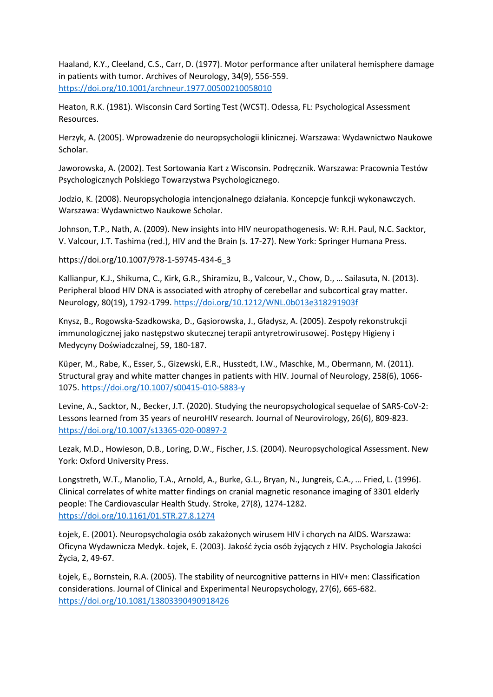Haaland, K.Y., Cleeland, C.S., Carr, D. (1977). Motor performance after unilateral hemisphere damage in patients with tumor. Archives of Neurology, 34(9), 556-559. <https://doi.org/10.1001/archneur.1977.00500210058010>

Heaton, R.K. (1981). Wisconsin Card Sorting Test (WCST). Odessa, FL: Psychological Assessment Resources.

Herzyk, A. (2005). Wprowadzenie do neuropsychologii klinicznej. Warszawa: Wydawnictwo Naukowe Scholar.

Jaworowska, A. (2002). Test Sortowania Kart z Wisconsin. Podręcznik. Warszawa: Pracownia Testów Psychologicznych Polskiego Towarzystwa Psychologicznego.

Jodzio, K. (2008). Neuropsychologia intencjonalnego działania. Koncepcje funkcji wykonawczych. Warszawa: Wydawnictwo Naukowe Scholar.

Johnson, T.P., Nath, A. (2009). New insights into HIV neuropathogenesis. W: R.H. Paul, N.C. Sacktor, V. Valcour, J.T. Tashima (red.), HIV and the Brain (s. 17-27). New York: Springer Humana Press.

https://doi.org/10.1007/978-1-59745-434-6\_3

Kallianpur, K.J., Shikuma, C., Kirk, G.R., Shiramizu, B., Valcour, V., Chow, D., … Sailasuta, N. (2013). Peripheral blood HIV DNA is associated with atrophy of cerebellar and subcortical gray matter. Neurology, 80(19), 1792-1799. <https://doi.org/10.1212/WNL.0b013e318291903f>

Knysz, B., Rogowska-Szadkowska, D., Gąsiorowska, J., Gładysz, A. (2005). Zespoły rekonstrukcji immunologicznej jako następstwo skutecznej terapii antyretrowirusowej. Postępy Higieny i Medycyny Doświadczalnej, 59, 180-187.

Küper, M., Rabe, K., Esser, S., Gizewski, E.R., Husstedt, I.W., Maschke, M., Obermann, M. (2011). Structural gray and white matter changes in patients with HIV. Journal of Neurology, 258(6), 1066- 1075. <https://doi.org/10.1007/s00415-010-5883-y>

Levine, A., Sacktor, N., Becker, J.T. (2020). Studying the neuropsychological sequelae of SARS-CoV-2: Lessons learned from 35 years of neuroHIV research. Journal of Neurovirology, 26(6), 809-823. <https://doi.org/10.1007/s13365-020-00897-2>

Lezak, M.D., Howieson, D.B., Loring, D.W., Fischer, J.S. (2004). Neuropsychological Assessment. New York: Oxford University Press.

Longstreth, W.T., Manolio, T.A., Arnold, A., Burke, G.L., Bryan, N., Jungreis, C.A., … Fried, L. (1996). Clinical correlates of white matter findings on cranial magnetic resonance imaging of 3301 elderly people: The Cardiovascular Health Study. Stroke, 27(8), 1274-1282. <https://doi.org/10.1161/01.STR.27.8.1274>

Łojek, E. (2001). Neuropsychologia osób zakażonych wirusem HIV i chorych na AIDS. Warszawa: Oficyna Wydawnicza Medyk. Łojek, E. (2003). Jakość życia osób żyjących z HIV. Psychologia Jakości Życia, 2, 49-67.

Łojek, E., Bornstein, R.A. (2005). The stability of neurcognitive patterns in HIV+ men: Classification considerations. Journal of Clinical and Experimental Neuropsychology, 27(6), 665-682. <https://doi.org/10.1081/13803390490918426>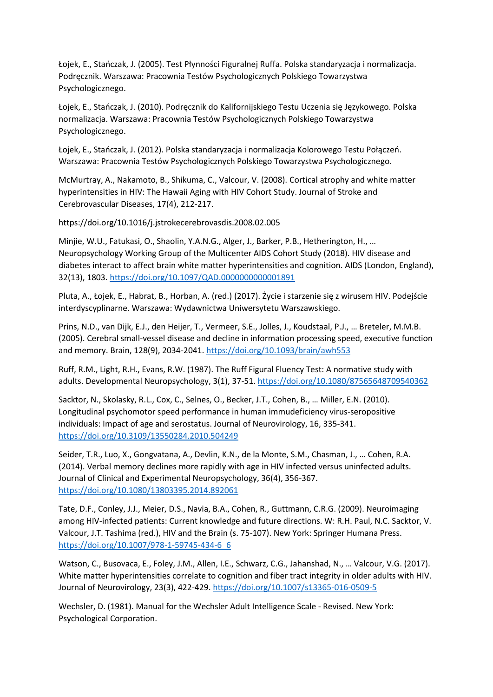Łojek, E., Stańczak, J. (2005). Test Płynności Figuralnej Ruffa. Polska standaryzacja i normalizacja. Podręcznik. Warszawa: Pracownia Testów Psychologicznych Polskiego Towarzystwa Psychologicznego.

Łojek, E., Stańczak, J. (2010). Podręcznik do Kalifornijskiego Testu Uczenia się Językowego. Polska normalizacja. Warszawa: Pracownia Testów Psychologicznych Polskiego Towarzystwa Psychologicznego.

Łojek, E., Stańczak, J. (2012). Polska standaryzacja i normalizacja Kolorowego Testu Połączeń. Warszawa: Pracownia Testów Psychologicznych Polskiego Towarzystwa Psychologicznego.

McMurtray, A., Nakamoto, B., Shikuma, C., Valcour, V. (2008). Cortical atrophy and white matter hyperintensities in HIV: The Hawaii Aging with HIV Cohort Study. Journal of Stroke and Cerebrovascular Diseases, 17(4), 212-217.

https://doi.org/10.1016/j.jstrokecerebrovasdis.2008.02.005

Minjie, W.U., Fatukasi, O., Shaolin, Y.A.N.G., Alger, J., Barker, P.B., Hetherington, H., … Neuropsychology Working Group of the Multicenter AIDS Cohort Study (2018). HIV disease and diabetes interact to affect brain white matter hyperintensities and cognition. AIDS (London, England), 32(13), 1803. <https://doi.org/10.1097/QAD.0000000000001891>

Pluta, A., Łojek, E., Habrat, B., Horban, A. (red.) (2017). Życie i starzenie się z wirusem HIV. Podejście interdyscyplinarne. Warszawa: Wydawnictwa Uniwersytetu Warszawskiego.

Prins, N.D., van Dijk, E.J., den Heijer, T., Vermeer, S.E., Jolles, J., Koudstaal, P.J., … Breteler, M.M.B. (2005). Cerebral small-vessel disease and decline in information processing speed, executive function and memory. Brain, 128(9), 2034-2041. <https://doi.org/10.1093/brain/awh553>

Ruff, R.M., Light, R.H., Evans, R.W. (1987). The Ruff Figural Fluency Test: A normative study with adults. Developmental Neuropsychology, 3(1), 37-51. <https://doi.org/10.1080/87565648709540362>

Sacktor, N., Skolasky, R.L., Cox, C., Selnes, O., Becker, J.T., Cohen, B., … Miller, E.N. (2010). Longitudinal psychomotor speed performance in human immudeficiency virus-seropositive individuals: Impact of age and serostatus. Journal of Neurovirology, 16, 335-341. <https://doi.org/10.3109/13550284.2010.504249>

Seider, T.R., Luo, X., Gongvatana, A., Devlin, K.N., de la Monte, S.M., Chasman, J., … Cohen, R.A. (2014). Verbal memory declines more rapidly with age in HIV infected versus uninfected adults. Journal of Clinical and Experimental Neuropsychology, 36(4), 356-367. <https://doi.org/10.1080/13803395.2014.892061>

Tate, D.F., Conley, J.J., Meier, D.S., Navia, B.A., Cohen, R., Guttmann, C.R.G. (2009). Neuroimaging among HIV-infected patients: Current knowledge and future directions. W: R.H. Paul, N.C. Sacktor, V. Valcour, J.T. Tashima (red.), HIV and the Brain (s. 75-107). New York: Springer Humana Press. [https://doi.org/10.1007/978-1-59745-434-6\\_6](https://doi.org/10.1007/978-1-59745-434-6_6)

Watson, C., Busovaca, E., Foley, J.M., Allen, I.E., Schwarz, C.G., Jahanshad, N., … Valcour, V.G. (2017). White matter hyperintensities correlate to cognition and fiber tract integrity in older adults with HIV. Journal of Neurovirology, 23(3), 422-429. <https://doi.org/10.1007/s13365-016-0509-5>

Wechsler, D. (1981). Manual for the Wechsler Adult Intelligence Scale - Revised. New York: Psychological Corporation.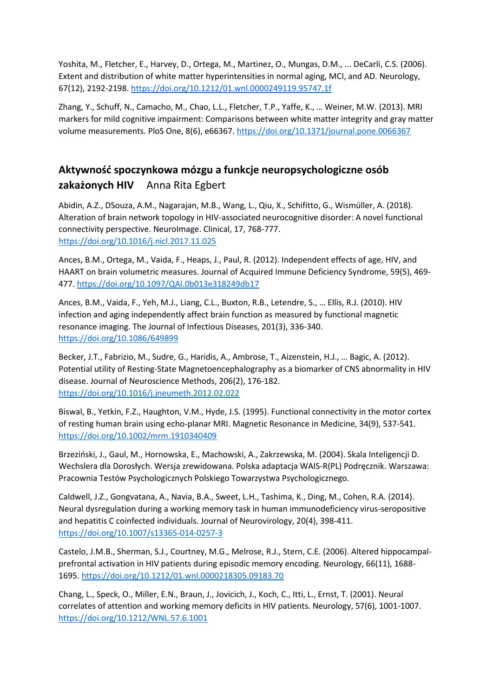Yoshita, M., Fletcher, E., Harvey, D., Ortega, M., Martinez, O., Mungas, D.M., ... DeCarli, C.S. (2006). Extent and distribution of white matter hyperintensities in normal aging, MCI, and AD. Neurology, 67(12), 2192-2198. <https://doi.org/10.1212/01.wnl.0000249119.95747.1f>

Zhang, Y., Schuff, N., Camacho, M., Chao, L.L., Fletcher, T.P., Yaffe, K., … Weiner, M.W. (2013). MRI markers for mild cognitive impairment: Comparisons between white matter integrity and gray matter volume measurements. PloS One, 8(6), e66367. <https://doi.org/10.1371/journal.pone.0066367>

#### **Aktywność spoczynkowa mózgu a funkcje neuropsychologiczne osób zakażonych HIV** Anna Rita Egbert

Abidin, A.Z., DSouza, A.M., Nagarajan, M.B., Wang, L., Qiu, X., Schifitto, G., Wismüller, A. (2018). Alteration of brain network topology in HIV-associated neurocognitive disorder: A novel functional connectivity perspective. NeuroImage. Clinical, 17, 768-777. <https://doi.org/10.1016/j.nicl.2017.11.025>

Ances, B.M., Ortega, M., Vaida, F., Heaps, J., Paul, R. (2012). Independent effects of age, HIV, and HAART on brain volumetric measures. Journal of Acquired Immune Deficiency Syndrome, 59(5), 469- 477. <https://doi.org/10.1097/QAI.0b013e318249db17>

Ances, B.M., Vaida, F., Yeh, M.J., Liang, C.L., Buxton, R.B., Letendre, S., … Ellis, R.J. (2010). HIV infection and aging independently affect brain function as measured by functional magnetic resonance imaging. The Journal of Infectious Diseases, 201(3), 336-340. <https://doi.org/10.1086/649899>

Becker, J.T., Fabrizio, M., Sudre, G., Haridis, A., Ambrose, T., Aizenstein, H.J., … Bagic, A. (2012). Potential utility of Resting-State Magnetoencephalography as a biomarker of CNS abnormality in HIV disease. Journal of Neuroscience Methods, 206(2), 176-182. <https://doi.org/10.1016/j.jneumeth.2012.02.022>

Biswal, B., Yetkin, F.Z., Haughton, V.M., Hyde, J.S. (1995). Functional connectivity in the motor cortex of resting human brain using echo-planar MRI. Magnetic Resonance in Medicine, 34(9), 537-541. <https://doi.org/10.1002/mrm.1910340409>

Brzeziński, J., Gaul, M., Hornowska, E., Machowski, A., Zakrzewska, M. (2004). Skala Inteligencji D. Wechslera dla Dorosłych. Wersja zrewidowana. Polska adaptacja WAIS-R(PL) Podręcznik. Warszawa: Pracownia Testów Psychologicznych Polskiego Towarzystwa Psychologicznego.

Caldwell, J.Z., Gongvatana, A., Navia, B.A., Sweet, L.H., Tashima, K., Ding, M., Cohen, R.A. (2014). Neural dysregulation during a working memory task in human immunodeficiency virus-seropositive and hepatitis C coinfected individuals. Journal of Neurovirology, 20(4), 398-411. <https://doi.org/10.1007/s13365-014-0257-3>

Castelo, J.M.B., Sherman, S.J., Courtney, M.G., Melrose, R.J., Stern, C.E. (2006). Altered hippocampalprefrontal activation in HIV patients during episodic memory encoding. Neurology, 66(11), 1688- 1695. <https://doi.org/10.1212/01.wnl.0000218305.09183.70>

Chang, L., Speck, O., Miller, E.N., Braun, J., Jovicich, J., Koch, C., Itti, L., Ernst, T. (2001). Neural correlates of attention and working memory deficits in HIV patients. Neurology, 57(6), 1001-1007. <https://doi.org/10.1212/WNL.57.6.1001>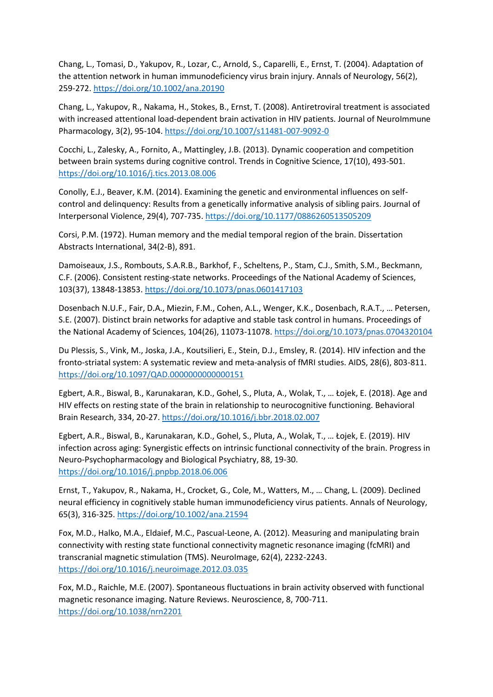Chang, L., Tomasi, D., Yakupov, R., Lozar, C., Arnold, S., Caparelli, E., Ernst, T. (2004). Adaptation of the attention network in human immunodeficiency virus brain injury. Annals of Neurology, 56(2), 259-272. <https://doi.org/10.1002/ana.20190>

Chang, L., Yakupov, R., Nakama, H., Stokes, B., Ernst, T. (2008). Antiretroviral treatment is associated with increased attentional load-dependent brain activation in HIV patients. Journal of NeuroImmune Pharmacology, 3(2), 95-104. <https://doi.org/10.1007/s11481-007-9092-0>

Cocchi, L., Zalesky, A., Fornito, A., Mattingley, J.B. (2013). Dynamic cooperation and competition between brain systems during cognitive control. Trends in Cognitive Science, 17(10), 493-501. <https://doi.org/10.1016/j.tics.2013.08.006>

Conolly, E.J., Beaver, K.M. (2014). Examining the genetic and environmental influences on selfcontrol and delinquency: Results from a genetically informative analysis of sibling pairs. Journal of Interpersonal Violence, 29(4), 707-735. <https://doi.org/10.1177/0886260513505209>

Corsi, P.M. (1972). Human memory and the medial temporal region of the brain. Dissertation Abstracts International, 34(2-B), 891.

Damoiseaux, J.S., Rombouts, S.A.R.B., Barkhof, F., Scheltens, P., Stam, C.J., Smith, S.M., Beckmann, C.F. (2006). Consistent resting-state networks. Proceedings of the National Academy of Sciences, 103(37), 13848-13853. <https://doi.org/10.1073/pnas.0601417103>

Dosenbach N.U.F., Fair, D.A., Miezin, F.M., Cohen, A.L., Wenger, K.K., Dosenbach, R.A.T., … Petersen, S.E. (2007). Distinct brain networks for adaptive and stable task control in humans. Proceedings of the National Academy of Sciences, 104(26), 11073-11078. <https://doi.org/10.1073/pnas.0704320104>

Du Plessis, S., Vink, M., Joska, J.A., Koutsilieri, E., Stein, D.J., Emsley, R. (2014). HIV infection and the fronto-striatal system: A systematic review and meta-analysis of fMRI studies. AIDS, 28(6), 803-811. <https://doi.org/10.1097/QAD.0000000000000151>

Egbert, A.R., Biswal, B., Karunakaran, K.D., Gohel, S., Pluta, A., Wolak, T., … Łojek, E. (2018). Age and HIV effects on resting state of the brain in relationship to neurocognitive functioning. Behavioral Brain Research, 334, 20-27. <https://doi.org/10.1016/j.bbr.2018.02.007>

Egbert, A.R., Biswal, B., Karunakaran, K.D., Gohel, S., Pluta, A., Wolak, T., … Łojek, E. (2019). HIV infection across aging: Synergistic effects on intrinsic functional connectivity of the brain. Progress in Neuro-Psychopharmacology and Biological Psychiatry, 88, 19-30. <https://doi.org/10.1016/j.pnpbp.2018.06.006>

Ernst, T., Yakupov, R., Nakama, H., Crocket, G., Cole, M., Watters, M., … Chang, L. (2009). Declined neural efficiency in cognitively stable human immunodeficiency virus patients. Annals of Neurology, 65(3), 316-325. <https://doi.org/10.1002/ana.21594>

Fox, M.D., Halko, M.A., Eldaief, M.C., Pascual-Leone, A. (2012). Measuring and manipulating brain connectivity with resting state functional connectivity magnetic resonance imaging (fcMRI) and transcranial magnetic stimulation (TMS). NeuroImage, 62(4), 2232-2243. <https://doi.org/10.1016/j.neuroimage.2012.03.035>

Fox, M.D., Raichle, M.E. (2007). Spontaneous fluctuations in brain activity observed with functional magnetic resonance imaging. Nature Reviews. Neuroscience, 8, 700-711. <https://doi.org/10.1038/nrn2201>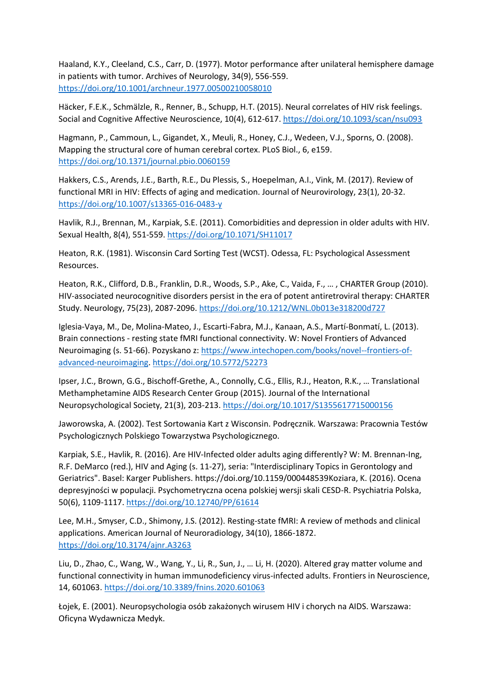Haaland, K.Y., Cleeland, C.S., Carr, D. (1977). Motor performance after unilateral hemisphere damage in patients with tumor. Archives of Neurology, 34(9), 556-559. <https://doi.org/10.1001/archneur.1977.00500210058010>

Häcker, F.E.K., Schmälzle, R., Renner, B., Schupp, H.T. (2015). Neural correlates of HIV risk feelings. Social and Cognitive Affective Neuroscience, 10(4), 612-617. <https://doi.org/10.1093/scan/nsu093>

Hagmann, P., Cammoun, L., Gigandet, X., Meuli, R., Honey, C.J., Wedeen, V.J., Sporns, O. (2008). Mapping the structural core of human cerebral cortex. PLoS Biol., 6, e159. <https://doi.org/10.1371/journal.pbio.0060159>

Hakkers, C.S., Arends, J.E., Barth, R.E., Du Plessis, S., Hoepelman, A.I., Vink, M. (2017). Review of functional MRI in HIV: Effects of aging and medication. Journal of Neurovirology, 23(1), 20-32. <https://doi.org/10.1007/s13365-016-0483-y>

Havlik, R.J., Brennan, M., Karpiak, S.E. (2011). Comorbidities and depression in older adults with HIV. Sexual Health, 8(4), 551-559. <https://doi.org/10.1071/SH11017>

Heaton, R.K. (1981). Wisconsin Card Sorting Test (WCST). Odessa, FL: Psychological Assessment Resources.

Heaton, R.K., Clifford, D.B., Franklin, D.R., Woods, S.P., Ake, C., Vaida, F., … , CHARTER Group (2010). HIV-associated neurocognitive disorders persist in the era of potent antiretroviral therapy: CHARTER Study. Neurology, 75(23), 2087-2096. <https://doi.org/10.1212/WNL.0b013e318200d727>

Iglesia-Vaya, M., De, Molina-Mateo, J., Escarti-Fabra, M.J., Kanaan, A.S., Martí-Bonmatí, L. (2013). Brain connections - resting state fMRI functional connectivity. W: Novel Frontiers of Advanced Neuroimaging (s. 51-66). Pozyskano z: [https://www.intechopen.com/books/novel--frontiers-of](https://www.intechopen.com/books/novel--frontiers-of-advanced-neuroimaging)[advanced-neuroimaging.](https://www.intechopen.com/books/novel--frontiers-of-advanced-neuroimaging) <https://doi.org/10.5772/52273>

Ipser, J.C., Brown, G.G., Bischoff-Grethe, A., Connolly, C.G., Ellis, R.J., Heaton, R.K., … Translational Methamphetamine AIDS Research Center Group (2015). Journal of the International Neuropsychological Society, 21(3), 203-213. <https://doi.org/10.1017/S1355617715000156>

Jaworowska, A. (2002). Test Sortowania Kart z Wisconsin. Podręcznik. Warszawa: Pracownia Testów Psychologicznych Polskiego Towarzystwa Psychologicznego.

Karpiak, S.E., Havlik, R. (2016). Are HIV-Infected older adults aging differently? W: M. Brennan-Ing, R.F. DeMarco (red.), HIV and Aging (s. 11-27), seria: "Interdisciplinary Topics in Gerontology and Geriatrics". Basel: Karger Publishers. https://doi.org/10.1159/000448539Koziara, K. (2016). Ocena depresyjności w populacji. Psychometryczna ocena polskiej wersji skali CESD-R. Psychiatria Polska, 50(6), 1109-1117. <https://doi.org/10.12740/PP/61614>

Lee, M.H., Smyser, C.D., Shimony, J.S. (2012). Resting-state fMRI: A review of methods and clinical applications. American Journal of Neuroradiology, 34(10), 1866-1872. <https://doi.org/10.3174/ajnr.A3263>

Liu, D., Zhao, C., Wang, W., Wang, Y., Li, R., Sun, J., … Li, H. (2020). Altered gray matter volume and functional connectivity in human immunodeficiency virus-infected adults. Frontiers in Neuroscience, 14, 601063. <https://doi.org/10.3389/fnins.2020.601063>

Łojek, E. (2001). Neuropsychologia osób zakażonych wirusem HIV i chorych na AIDS. Warszawa: Oficyna Wydawnicza Medyk.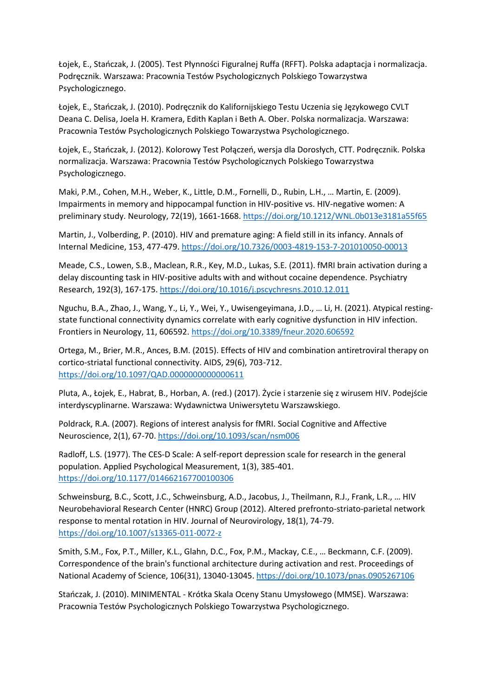Łojek, E., Stańczak, J. (2005). Test Płynności Figuralnej Ruffa (RFFT). Polska adaptacja i normalizacja. Podręcznik. Warszawa: Pracownia Testów Psychologicznych Polskiego Towarzystwa Psychologicznego.

Łojek, E., Stańczak, J. (2010). Podręcznik do Kalifornijskiego Testu Uczenia się Językowego CVLT Deana C. Delisa, Joela H. Kramera, Edith Kaplan i Beth A. Ober. Polska normalizacja. Warszawa: Pracownia Testów Psychologicznych Polskiego Towarzystwa Psychologicznego.

Łojek, E., Stańczak, J. (2012). Kolorowy Test Połączeń, wersja dla Dorosłych, CTT. Podręcznik. Polska normalizacja. Warszawa: Pracownia Testów Psychologicznych Polskiego Towarzystwa Psychologicznego.

Maki, P.M., Cohen, M.H., Weber, K., Little, D.M., Fornelli, D., Rubin, L.H., … Martin, E. (2009). Impairments in memory and hippocampal function in HIV-positive vs. HIV-negative women: A preliminary study. Neurology, 72(19), 1661-1668. <https://doi.org/10.1212/WNL.0b013e3181a55f65>

Martin, J., Volberding, P. (2010). HIV and premature aging: A field still in its infancy. Annals of Internal Medicine, 153, 477-479. <https://doi.org/10.7326/0003-4819-153-7-201010050-00013>

Meade, C.S., Lowen, S.B., Maclean, R.R., Key, M.D., Lukas, S.E. (2011). fMRI brain activation during a delay discounting task in HIV-positive adults with and without cocaine dependence. Psychiatry Research, 192(3), 167-175. <https://doi.org/10.1016/j.pscychresns.2010.12.011>

Nguchu, B.A., Zhao, J., Wang, Y., Li, Y., Wei, Y., Uwisengeyimana, J.D., … Li, H. (2021). Atypical restingstate functional connectivity dynamics correlate with early cognitive dysfunction in HIV infection. Frontiers in Neurology, 11, 606592. <https://doi.org/10.3389/fneur.2020.606592>

Ortega, M., Brier, M.R., Ances, B.M. (2015). Effects of HIV and combination antiretroviral therapy on cortico-striatal functional connectivity. AIDS, 29(6), 703-712. <https://doi.org/10.1097/QAD.0000000000000611>

Pluta, A., Łojek, E., Habrat, B., Horban, A. (red.) (2017). Życie i starzenie się z wirusem HIV. Podejście interdyscyplinarne. Warszawa: Wydawnictwa Uniwersytetu Warszawskiego.

Poldrack, R.A. (2007). Regions of interest analysis for fMRI. Social Cognitive and Affective Neuroscience, 2(1), 67-70. <https://doi.org/10.1093/scan/nsm006>

Radloff, L.S. (1977). The CES-D Scale: A self-report depression scale for research in the general population. Applied Psychological Measurement, 1(3), 385-401. <https://doi.org/10.1177/014662167700100306>

Schweinsburg, B.C., Scott, J.C., Schweinsburg, A.D., Jacobus, J., Theilmann, R.J., Frank, L.R., … HIV Neurobehavioral Research Center (HNRC) Group (2012). Altered prefronto-striato-parietal network response to mental rotation in HIV. Journal of Neurovirology, 18(1), 74-79. <https://doi.org/10.1007/s13365-011-0072-z>

Smith, S.M., Fox, P.T., Miller, K.L., Glahn, D.C., Fox, P.M., Mackay, C.E., … Beckmann, C.F. (2009). Correspondence of the brain's functional architecture during activation and rest. Proceedings of National Academy of Science, 106(31), 13040-13045. <https://doi.org/10.1073/pnas.0905267106>

Stańczak, J. (2010). MINIMENTAL - Krótka Skala Oceny Stanu Umysłowego (MMSE). Warszawa: Pracownia Testów Psychologicznych Polskiego Towarzystwa Psychologicznego.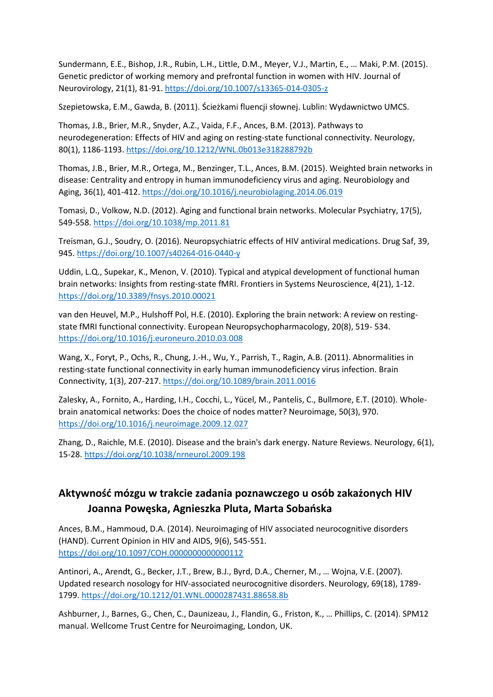Sundermann, E.E., Bishop, J.R., Rubin, L.H., Little, D.M., Meyer, V.J., Martin, E., … Maki, P.M. (2015). Genetic predictor of working memory and prefrontal function in women with HIV. Journal of Neurovirology, 21(1), 81-91. <https://doi.org/10.1007/s13365-014-0305-z>

Szepietowska, E.M., Gawda, B. (2011). Ścieżkami fluencji słownej. Lublin: Wydawnictwo UMCS.

Thomas, J.B., Brier, M.R., Snyder, A.Z., Vaida, F.F., Ances, B.M. (2013). Pathways to neurodegeneration: Effects of HIV and aging on resting-state functional connectivity. Neurology, 80(1), 1186-1193. <https://doi.org/10.1212/WNL.0b013e318288792b>

Thomas, J.B., Brier, M.R., Ortega, M., Benzinger, T.L., Ances, B.M. (2015). Weighted brain networks in disease: Centrality and entropy in human immunodeficiency virus and aging. Neurobiology and Aging, 36(1), 401-412. <https://doi.org/10.1016/j.neurobiolaging.2014.06.019>

Tomasi, D., Volkow, N.D. (2012). Aging and functional brain networks. Molecular Psychiatry, 17(5), 549-558. <https://doi.org/10.1038/mp.2011.81>

Treisman, G.J., Soudry, O. (2016). Neuropsychiatric effects of HIV antiviral medications. Drug Saf, 39, 945. <https://doi.org/10.1007/s40264-016-0440-y>

Uddin, L.Q., Supekar, K., Menon, V. (2010). Typical and atypical development of functional human brain networks: Insights from resting-state fMRI. Frontiers in Systems Neuroscience, 4(21), 1-12. <https://doi.org/10.3389/fnsys.2010.00021>

van den Heuvel, M.P., Hulshoff Pol, H.E. (2010). Exploring the brain network: A review on restingstate fMRI functional connectivity. European Neuropsychopharmacology, 20(8), 519- 534. <https://doi.org/10.1016/j.euroneuro.2010.03.008>

Wang, X., Foryt, P., Ochs, R., Chung, J.-H., Wu, Y., Parrish, T., Ragin, A.B. (2011). Abnormalities in resting-state functional connectivity in early human immunodeficiency virus infection. Brain Connectivity, 1(3), 207-217. <https://doi.org/10.1089/brain.2011.0016>

Zalesky, A., Fornito, A., Harding, I.H., Cocchi, L., Yücel, M., Pantelis, C., Bullmore, E.T. (2010). Wholebrain anatomical networks: Does the choice of nodes matter? Neuroimage, 50(3), 970. <https://doi.org/10.1016/j.neuroimage.2009.12.027>

Zhang, D., Raichle, M.E. (2010). Disease and the brain's dark energy. Nature Reviews. Neurology, 6(1), 15-28. <https://doi.org/10.1038/nrneurol.2009.198>

### **Aktywność mózgu w trakcie zadania poznawczego u osób zakażonych HIV Joanna Powęska, Agnieszka Pluta, Marta Sobańska**

Ances, B.M., Hammoud, D.A. (2014). Neuroimaging of HIV associated neurocognitive disorders (HAND). Current Opinion in HIV and AIDS, 9(6), 545-551. <https://doi.org/10.1097/COH.0000000000000112>

Antinori, A., Arendt, G., Becker, J.T., Brew, B.J., Byrd, D.A., Cherner, M., … Wojna, V.E. (2007). Updated research nosology for HIV-associated neurocognitive disorders. Neurology, 69(18), 1789- 1799. <https://doi.org/10.1212/01.WNL.0000287431.88658.8b>

Ashburner, J., Barnes, G., Chen, C., Daunizeau, J., Flandin, G., Friston, K., … Phillips, C. (2014). SPM12 manual. Wellcome Trust Centre for Neuroimaging, London, UK.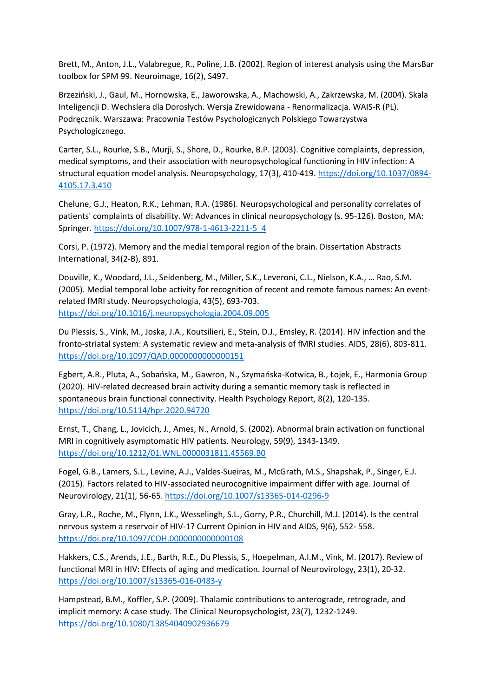Brett, M., Anton, J.L., Valabregue, R., Poline, J.B. (2002). Region of interest analysis using the MarsBar toolbox for SPM 99. Neuroimage, 16(2), S497.

Brzeziński, J., Gaul, M., Hornowska, E., Jaworowska, A., Machowski, A., Zakrzewska, M. (2004). Skala Inteligencji D. Wechslera dla Dorosłych. Wersja Zrewidowana - Renormalizacja. WAIS-R (PL). Podręcznik. Warszawa: Pracownia Testów Psychologicznych Polskiego Towarzystwa Psychologicznego.

Carter, S.L., Rourke, S.B., Murji, S., Shore, D., Rourke, B.P. (2003). Cognitive complaints, depression, medical symptoms, and their association with neuropsychological functioning in HIV infection: A structural equation model analysis. Neuropsychology, 17(3), 410-419. [https://doi.org/10.1037/0894-](https://doi.org/10.1037/0894-4105.17.3.410) [4105.17.3.410](https://doi.org/10.1037/0894-4105.17.3.410)

Chelune, G.J., Heaton, R.K., Lehman, R.A. (1986). Neuropsychological and personality correlates of patients' complaints of disability. W: Advances in clinical neuropsychology (s. 95-126). Boston, MA: Springer. [https://doi.org/10.1007/978-1-4613-2211-5\\_4](https://doi.org/10.1007/978-1-4613-2211-5_4)

Corsi, P. (1972). Memory and the medial temporal region of the brain. Dissertation Abstracts International, 34(2-B), 891.

Douville, K., Woodard, J.L., Seidenberg, M., Miller, S.K., Leveroni, C.L., Nielson, K.A., … Rao, S.M. (2005). Medial temporal lobe activity for recognition of recent and remote famous names: An eventrelated fMRI study. Neuropsychologia, 43(5), 693-703. <https://doi.org/10.1016/j.neuropsychologia.2004.09.005>

Du Plessis, S., Vink, M., Joska, J.A., Koutsilieri, E., Stein, D.J., Emsley, R. (2014). HIV infection and the fronto-striatal system: A systematic review and meta-analysis of fMRI studies. AIDS, 28(6), 803-811. <https://doi.org/10.1097/QAD.0000000000000151>

Egbert, A.R., Pluta, A., Sobańska, M., Gawron, N., Szymańska-Kotwica, B., Łojek, E., Harmonia Group (2020). HIV-related decreased brain activity during a semantic memory task is reflected in spontaneous brain functional connectivity. Health Psychology Report, 8(2), 120-135. <https://doi.org/10.5114/hpr.2020.94720>

Ernst, T., Chang, L., Jovicich, J., Ames, N., Arnold, S. (2002). Abnormal brain activation on functional MRI in cognitively asymptomatic HIV patients. Neurology, 59(9), 1343-1349. <https://doi.org/10.1212/01.WNL.0000031811.45569.B0>

Fogel, G.B., Lamers, S.L., Levine, A.J., Valdes-Sueiras, M., McGrath, M.S., Shapshak, P., Singer, E.J. (2015). Factors related to HIV-associated neurocognitive impairment differ with age. Journal of Neurovirology, 21(1), 56-65. <https://doi.org/10.1007/s13365-014-0296-9>

Gray, L.R., Roche, M., Flynn, J.K., Wesselingh, S.L., Gorry, P.R., Churchill, M.J. (2014). Is the central nervous system a reservoir of HIV-1? Current Opinion in HIV and AIDS, 9(6), 552- 558. <https://doi.org/10.1097/COH.0000000000000108>

Hakkers, C.S., Arends, J.E., Barth, R.E., Du Plessis, S., Hoepelman, A.I.M., Vink, M. (2017). Review of functional MRI in HIV: Effects of aging and medication. Journal of Neurovirology, 23(1), 20-32. <https://doi.org/10.1007/s13365-016-0483-y>

Hampstead, B.M., Koffler, S.P. (2009). Thalamic contributions to anterograde, retrograde, and implicit memory: A case study. The Clinical Neuropsychologist, 23(7), 1232-1249. <https://doi.org/10.1080/13854040902936679>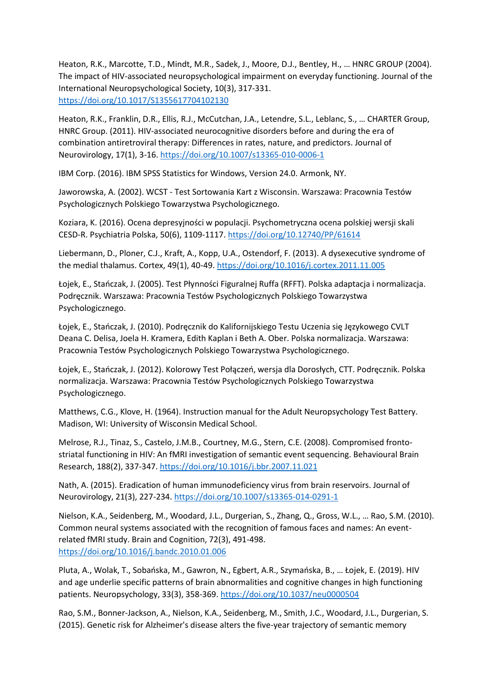Heaton, R.K., Marcotte, T.D., Mindt, M.R., Sadek, J., Moore, D.J., Bentley, H., … HNRC GROUP (2004). The impact of HIV-associated neuropsychological impairment on everyday functioning. Journal of the International Neuropsychological Society, 10(3), 317-331. <https://doi.org/10.1017/S1355617704102130>

Heaton, R.K., Franklin, D.R., Ellis, R.J., McCutchan, J.A., Letendre, S.L., Leblanc, S., … CHARTER Group, HNRC Group. (2011). HIV-associated neurocognitive disorders before and during the era of combination antiretroviral therapy: Differences in rates, nature, and predictors. Journal of Neurovirology, 17(1), 3-16. <https://doi.org/10.1007/s13365-010-0006-1>

IBM Corp. (2016). IBM SPSS Statistics for Windows, Version 24.0. Armonk, NY.

Jaworowska, A. (2002). WCST - Test Sortowania Kart z Wisconsin. Warszawa: Pracownia Testów Psychologicznych Polskiego Towarzystwa Psychologicznego.

Koziara, K. (2016). Ocena depresyjności w populacji. Psychometryczna ocena polskiej wersji skali CESD-R. Psychiatria Polska, 50(6), 1109-1117. <https://doi.org/10.12740/PP/61614>

Liebermann, D., Ploner, C.J., Kraft, A., Kopp, U.A., Ostendorf, F. (2013). A dysexecutive syndrome of the medial thalamus. Cortex, 49(1), 40-49. <https://doi.org/10.1016/j.cortex.2011.11.005>

Łojek, E., Stańczak, J. (2005). Test Płynności Figuralnej Ruffa (RFFT). Polska adaptacja i normalizacja. Podręcznik. Warszawa: Pracownia Testów Psychologicznych Polskiego Towarzystwa Psychologicznego.

Łojek, E., Stańczak, J. (2010). Podręcznik do Kalifornijskiego Testu Uczenia się Językowego CVLT Deana C. Delisa, Joela H. Kramera, Edith Kaplan i Beth A. Ober. Polska normalizacja. Warszawa: Pracownia Testów Psychologicznych Polskiego Towarzystwa Psychologicznego.

Łojek, E., Stańczak, J. (2012). Kolorowy Test Połączeń, wersja dla Dorosłych, CTT. Podręcznik. Polska normalizacja. Warszawa: Pracownia Testów Psychologicznych Polskiego Towarzystwa Psychologicznego.

Matthews, C.G., Klove, H. (1964). Instruction manual for the Adult Neuropsychology Test Battery. Madison, WI: University of Wisconsin Medical School.

Melrose, R.J., Tinaz, S., Castelo, J.M.B., Courtney, M.G., Stern, C.E. (2008). Compromised frontostriatal functioning in HIV: An fMRI investigation of semantic event sequencing. Behavioural Brain Research, 188(2), 337-347. <https://doi.org/10.1016/j.bbr.2007.11.021>

Nath, A. (2015). Eradication of human immunodeficiency virus from brain reservoirs. Journal of Neurovirology, 21(3), 227-234. <https://doi.org/10.1007/s13365-014-0291-1>

Nielson, K.A., Seidenberg, M., Woodard, J.L., Durgerian, S., Zhang, Q., Gross, W.L., … Rao, S.M. (2010). Common neural systems associated with the recognition of famous faces and names: An eventrelated fMRI study. Brain and Cognition, 72(3), 491-498. <https://doi.org/10.1016/j.bandc.2010.01.006>

Pluta, A., Wolak, T., Sobańska, M., Gawron, N., Egbert, A.R., Szymańska, B., … Łojek, E. (2019). HIV and age underlie specific patterns of brain abnormalities and cognitive changes in high functioning patients. Neuropsychology, 33(3), 358-369. <https://doi.org/10.1037/neu0000504>

Rao, S.M., Bonner-Jackson, A., Nielson, K.A., Seidenberg, M., Smith, J.C., Woodard, J.L., Durgerian, S. (2015). Genetic risk for Alzheimer's disease alters the five-year trajectory of semantic memory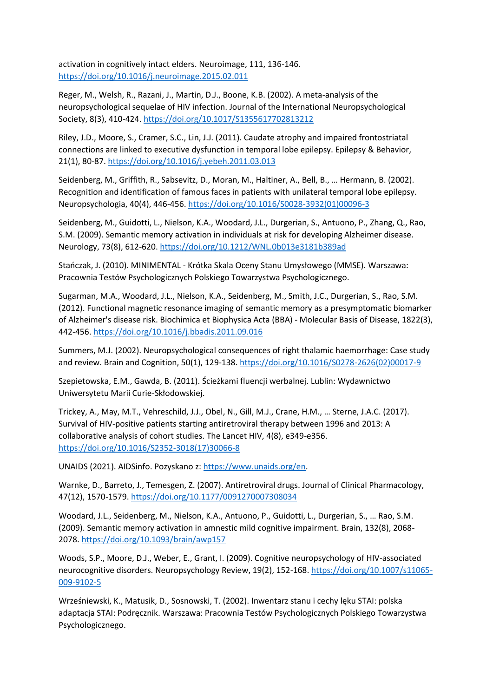activation in cognitively intact elders. Neuroimage, 111, 136-146. <https://doi.org/10.1016/j.neuroimage.2015.02.011>

Reger, M., Welsh, R., Razani, J., Martin, D.J., Boone, K.B. (2002). A meta-analysis of the neuropsychological sequelae of HIV infection. Journal of the International Neuropsychological Society, 8(3), 410-424. <https://doi.org/10.1017/S1355617702813212>

Riley, J.D., Moore, S., Cramer, S.C., Lin, J.J. (2011). Caudate atrophy and impaired frontostriatal connections are linked to executive dysfunction in temporal lobe epilepsy. Epilepsy & Behavior, 21(1), 80-87. <https://doi.org/10.1016/j.yebeh.2011.03.013>

Seidenberg, M., Griffith, R., Sabsevitz, D., Moran, M., Haltiner, A., Bell, B., … Hermann, B. (2002). Recognition and identification of famous faces in patients with unilateral temporal lobe epilepsy. Neuropsychologia, 40(4), 446-456. [https://doi.org/10.1016/S0028-3932\(01\)00096-3](https://doi.org/10.1016/S0028-3932(01)00096-3)

Seidenberg, M., Guidotti, L., Nielson, K.A., Woodard, J.L., Durgerian, S., Antuono, P., Zhang, Q., Rao, S.M. (2009). Semantic memory activation in individuals at risk for developing Alzheimer disease. Neurology, 73(8), 612-620. <https://doi.org/10.1212/WNL.0b013e3181b389ad>

Stańczak, J. (2010). MINIMENTAL - Krótka Skala Oceny Stanu Umysłowego (MMSE). Warszawa: Pracownia Testów Psychologicznych Polskiego Towarzystwa Psychologicznego.

Sugarman, M.A., Woodard, J.L., Nielson, K.A., Seidenberg, M., Smith, J.C., Durgerian, S., Rao, S.M. (2012). Functional magnetic resonance imaging of semantic memory as a presymptomatic biomarker of Alzheimer's disease risk. Biochimica et Biophysica Acta (BBA) - Molecular Basis of Disease, 1822(3), 442-456. <https://doi.org/10.1016/j.bbadis.2011.09.016>

Summers, M.J. (2002). Neuropsychological consequences of right thalamic haemorrhage: Case study and review. Brain and Cognition, 50(1), 129-138. [https://doi.org/10.1016/S0278-2626\(02\)00017-9](https://doi.org/10.1016/S0278-2626(02)00017-9)

Szepietowska, E.M., Gawda, B. (2011). Ścieżkami fluencji werbalnej. Lublin: Wydawnictwo Uniwersytetu Marii Curie-Skłodowskiej.

Trickey, A., May, M.T., Vehreschild, J.J., Obel, N., Gill, M.J., Crane, H.M., … Sterne, J.A.C. (2017). Survival of HIV-positive patients starting antiretroviral therapy between 1996 and 2013: A collaborative analysis of cohort studies. The Lancet HIV, 4(8), e349-e356. [https://doi.org/10.1016/S2352-3018\(17\)30066-8](https://doi.org/10.1016/S2352-3018(17)30066-8)

UNAIDS (2021). AIDSinfo. Pozyskano z[: https://www.unaids.org/en.](https://www.unaids.org/en)

Warnke, D., Barreto, J., Temesgen, Z. (2007). Antiretroviral drugs. Journal of Clinical Pharmacology, 47(12), 1570-1579. <https://doi.org/10.1177/0091270007308034>

Woodard, J.L., Seidenberg, M., Nielson, K.A., Antuono, P., Guidotti, L., Durgerian, S., … Rao, S.M. (2009). Semantic memory activation in amnestic mild cognitive impairment. Brain, 132(8), 2068- 2078. <https://doi.org/10.1093/brain/awp157>

Woods, S.P., Moore, D.J., Weber, E., Grant, I. (2009). Cognitive neuropsychology of HIV-associated neurocognitive disorders. Neuropsychology Review, 19(2), 152-168. [https://doi.org/10.1007/s11065-](https://doi.org/10.1007/s11065-009-9102-5) [009-9102-5](https://doi.org/10.1007/s11065-009-9102-5)

Wrześniewski, K., Matusik, D., Sosnowski, T. (2002). Inwentarz stanu i cechy lęku STAI: polska adaptacja STAI: Podręcznik. Warszawa: Pracownia Testów Psychologicznych Polskiego Towarzystwa Psychologicznego.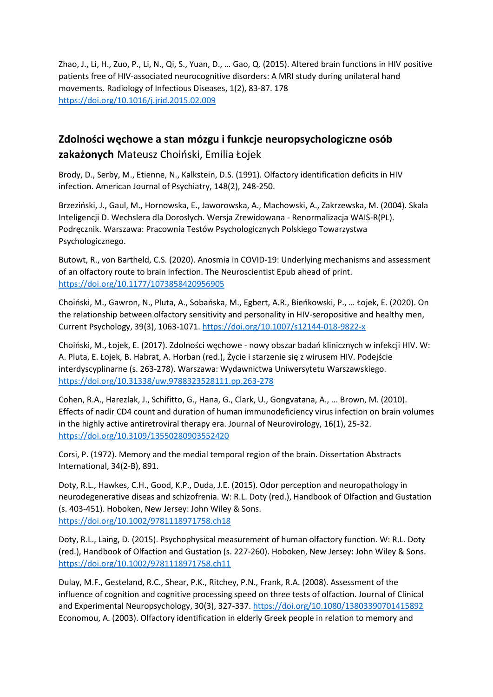Zhao, J., Li, H., Zuo, P., Li, N., Qi, S., Yuan, D., … Gao, Q. (2015). Altered brain functions in HIV positive patients free of HIV-associated neurocognitive disorders: A MRI study during unilateral hand movements. Radiology of Infectious Diseases, 1(2), 83-87. 178 <https://doi.org/10.1016/j.jrid.2015.02.009>

# **Zdolności węchowe a stan mózgu i funkcje neuropsychologiczne osób zakażonych** Mateusz Choiński, Emilia Łojek

Brody, D., Serby, M., Etienne, N., Kalkstein, D.S. (1991). Olfactory identification deficits in HIV infection. American Journal of Psychiatry, 148(2), 248-250.

Brzeziński, J., Gaul, M., Hornowska, E., Jaworowska, A., Machowski, A., Zakrzewska, M. (2004). Skala Inteligencji D. Wechslera dla Dorosłych. Wersja Zrewidowana - Renormalizacja WAIS-R(PL). Podręcznik. Warszawa: Pracownia Testów Psychologicznych Polskiego Towarzystwa Psychologicznego.

Butowt, R., von Bartheld, C.S. (2020). Anosmia in COVID-19: Underlying mechanisms and assessment of an olfactory route to brain infection. The Neuroscientist Epub ahead of print. <https://doi.org/10.1177/1073858420956905>

Choiński, M., Gawron, N., Pluta, A., Sobańska, M., Egbert, A.R., Bieńkowski, P., … Łojek, E. (2020). On the relationship between olfactory sensitivity and personality in HIV-seropositive and healthy men, Current Psychology, 39(3), 1063-1071. <https://doi.org/10.1007/s12144-018-9822-x>

Choiński, M., Łojek, E. (2017). Zdolności węchowe - nowy obszar badań klinicznych w infekcji HIV. W: A. Pluta, E. Łojek, B. Habrat, A. Horban (red.), Życie i starzenie się z wirusem HIV. Podejście interdyscyplinarne (s. 263-278). Warszawa: Wydawnictwa Uniwersytetu Warszawskiego. <https://doi.org/10.31338/uw.9788323528111.pp.263-278>

Cohen, R.A., Harezlak, J., Schifitto, G., Hana, G., Clark, U., Gongvatana, A., ... Brown, M. (2010). Effects of nadir CD4 count and duration of human immunodeficiency virus infection on brain volumes in the highly active antiretroviral therapy era. Journal of Neurovirology, 16(1), 25-32. <https://doi.org/10.3109/13550280903552420>

Corsi, P. (1972). Memory and the medial temporal region of the brain. Dissertation Abstracts International, 34(2-B), 891.

Doty, R.L., Hawkes, C.H., Good, K.P., Duda, J.E. (2015). Odor perception and neuropathology in neurodegenerative diseas and schizofrenia. W: R.L. Doty (red.), Handbook of Olfaction and Gustation (s. 403-451). Hoboken, New Jersey: John Wiley & Sons. <https://doi.org/10.1002/9781118971758.ch18>

Doty, R.L., Laing, D. (2015). Psychophysical measurement of human olfactory function. W: R.L. Doty (red.), Handbook of Olfaction and Gustation (s. 227-260). Hoboken, New Jersey: John Wiley & Sons. <https://doi.org/10.1002/9781118971758.ch11>

Dulay, M.F., Gesteland, R.C., Shear, P.K., Ritchey, P.N., Frank, R.A. (2008). Assessment of the influence of cognition and cognitive processing speed on three tests of olfaction. Journal of Clinical and Experimental Neuropsychology, 30(3), 327-337. <https://doi.org/10.1080/13803390701415892> Economou, A. (2003). Olfactory identification in elderly Greek people in relation to memory and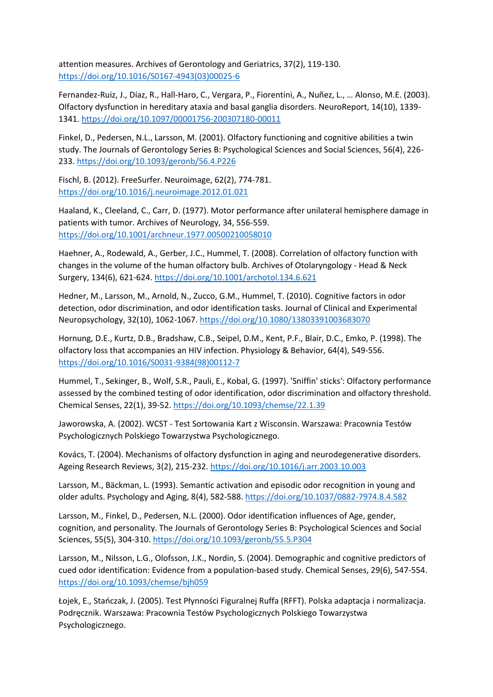attention measures. Archives of Gerontology and Geriatrics, 37(2), 119-130. [https://doi.org/10.1016/S0167-4943\(03\)00025-6](https://doi.org/10.1016/S0167-4943(03)00025-6)

Fernandez-Ruiz, J., Díaz, R., Hall-Haro, C., Vergara, P., Fiorentini, A., Nuñez, L., … Alonso, M.E. (2003). Olfactory dysfunction in hereditary ataxia and basal ganglia disorders. NeuroReport, 14(10), 1339- 1341. <https://doi.org/10.1097/00001756-200307180-00011>

Finkel, D., Pedersen, N.L., Larsson, M. (2001). Olfactory functioning and cognitive abilities a twin study. The Journals of Gerontology Series B: Psychological Sciences and Social Sciences, 56(4), 226- 233. <https://doi.org/10.1093/geronb/56.4.P226>

Fischl, B. (2012). FreeSurfer. Neuroimage, 62(2), 774-781. <https://doi.org/10.1016/j.neuroimage.2012.01.021>

Haaland, K., Cleeland, C., Carr, D. (1977). Motor performance after unilateral hemisphere damage in patients with tumor. Archives of Neurology, 34, 556-559. <https://doi.org/10.1001/archneur.1977.00500210058010>

Haehner, A., Rodewald, A., Gerber, J.C., Hummel, T. (2008). Correlation of olfactory function with changes in the volume of the human olfactory bulb. Archives of Otolaryngology - Head & Neck Surgery, 134(6), 621-624. <https://doi.org/10.1001/archotol.134.6.621>

Hedner, M., Larsson, M., Arnold, N., Zucco, G.M., Hummel, T. (2010). Cognitive factors in odor detection, odor discrimination, and odor identification tasks. Journal of Clinical and Experimental Neuropsychology, 32(10), 1062-1067. <https://doi.org/10.1080/13803391003683070>

Hornung, D.E., Kurtz, D.B., Bradshaw, C.B., Seipel, D.M., Kent, P.F., Blair, D.C., Emko, P. (1998). The olfactory loss that accompanies an HIV infection. Physiology & Behavior, 64(4), 549-556. [https://doi.org/10.1016/S0031-9384\(98\)00112-7](https://doi.org/10.1016/S0031-9384(98)00112-7)

Hummel, T., Sekinger, B., Wolf, S.R., Pauli, E., Kobal, G. (1997). 'Sniffin' sticks': Olfactory performance assessed by the combined testing of odor identification, odor discrimination and olfactory threshold. Chemical Senses, 22(1), 39-52. <https://doi.org/10.1093/chemse/22.1.39>

Jaworowska, A. (2002). WCST - Test Sortowania Kart z Wisconsin. Warszawa: Pracownia Testów Psychologicznych Polskiego Towarzystwa Psychologicznego.

Kovács, T. (2004). Mechanisms of olfactory dysfunction in aging and neurodegenerative disorders. Ageing Research Reviews, 3(2), 215-232. <https://doi.org/10.1016/j.arr.2003.10.003>

Larsson, M., Bäckman, L. (1993). Semantic activation and episodic odor recognition in young and older adults. Psychology and Aging, 8(4), 582-588. <https://doi.org/10.1037/0882-7974.8.4.582>

Larsson, M., Finkel, D., Pedersen, N.L. (2000). Odor identification influences of Age, gender, cognition, and personality. The Journals of Gerontology Series B: Psychological Sciences and Social Sciences, 55(5), 304-310. <https://doi.org/10.1093/geronb/55.5.P304>

Larsson, M., Nilsson, L.G., Olofsson, J.K., Nordin, S. (2004). Demographic and cognitive predictors of cued odor identification: Evidence from a population-based study. Chemical Senses, 29(6), 547-554. <https://doi.org/10.1093/chemse/bjh059>

Łojek, E., Stańczak, J. (2005). Test Płynności Figuralnej Ruffa (RFFT). Polska adaptacja i normalizacja. Podręcznik. Warszawa: Pracownia Testów Psychologicznych Polskiego Towarzystwa Psychologicznego.